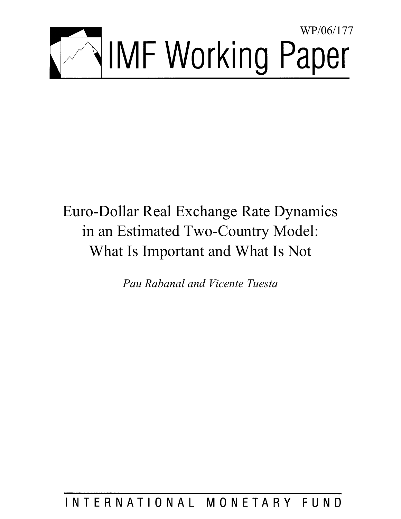

# Euro-Dollar Real Exchange Rate Dynamics in an Estimated Two-Country Model: What Is Important and What Is Not

*Pau Rabanal and Vicente Tuesta* 

## INTERNATIONAL MONETARY FUND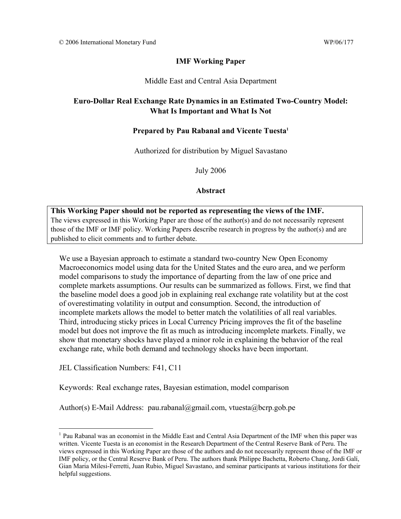## **IMF Working Paper**

#### Middle East and Central Asia Department

## **Euro-Dollar Real Exchange Rate Dynamics in an Estimated Two-Country Model: What Is Important and What Is Not**

#### **Prepared by Pau Rabanal and Vicente Tuesta1**

Authorized for distribution by Miguel Savastano

July 2006

#### **Abstract**

#### **This Working Paper should not be reported as representing the views of the IMF.**

The views expressed in this Working Paper are those of the author(s) and do not necessarily represent those of the IMF or IMF policy. Working Papers describe research in progress by the author(s) and are published to elicit comments and to further debate.

We use a Bayesian approach to estimate a standard two-country New Open Economy Macroeconomics model using data for the United States and the euro area, and we perform model comparisons to study the importance of departing from the law of one price and complete markets assumptions. Our results can be summarized as follows. First, we find that the baseline model does a good job in explaining real exchange rate volatility but at the cost of overestimating volatility in output and consumption. Second, the introduction of incomplete markets allows the model to better match the volatilities of all real variables. Third, introducing sticky prices in Local Currency Pricing improves the fit of the baseline model but does not improve the fit as much as introducing incomplete markets. Finally, we show that monetary shocks have played a minor role in explaining the behavior of the real exchange rate, while both demand and technology shocks have been important.

JEL Classification Numbers: F41, C11

 $\overline{a}$ 

Keywords: Real exchange rates, Bayesian estimation, model comparison

Author(s) E-Mail Address: pau.rabanal@gmail.com, vtuesta@bcrp.gob.pe

<sup>&</sup>lt;sup>1</sup> Pau Rabanal was an economist in the Middle East and Central Asia Department of the IMF when this paper was written. Vicente Tuesta is an economist in the Research Department of the Central Reserve Bank of Peru. The views expressed in this Working Paper are those of the authors and do not necessarily represent those of the IMF or IMF policy, or the Central Reserve Bank of Peru. The authors thank Philippe Bachetta, Roberto Chang, Jordi Galí, Gian Maria Milesi-Ferretti, Juan Rubio, Miguel Savastano, and seminar participants at various institutions for their helpful suggestions.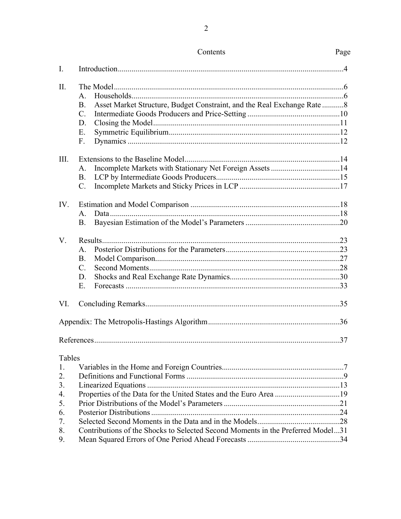| I.                                                           |                                                                                                                                                      |     |
|--------------------------------------------------------------|------------------------------------------------------------------------------------------------------------------------------------------------------|-----|
| Π.                                                           | $\mathsf{A}$<br>Asset Market Structure, Budget Constraint, and the Real Exchange Rate 8<br><b>B.</b><br>$\mathcal{C}$ .<br>D.<br>E.<br>F.            |     |
| III.                                                         | A.<br><b>B.</b><br>$\mathcal{C}$ .                                                                                                                   |     |
| IV.                                                          | $\mathsf{A}$<br><b>B.</b>                                                                                                                            |     |
| $V_{r}$                                                      | $\mathbf{A}$ .<br><b>B.</b><br>$\mathcal{C}$ .<br>D.<br>E                                                                                            |     |
| VI.                                                          |                                                                                                                                                      |     |
|                                                              |                                                                                                                                                      |     |
|                                                              |                                                                                                                                                      | .37 |
| Tables<br>1.<br>2.<br>3.<br>4.<br>5.<br>6.<br>7.<br>8.<br>9. | Properties of the Data for the United States and the Euro Area 19<br>Contributions of the Shocks to Selected Second Moments in the Preferred Model31 |     |

## $Contents$

Page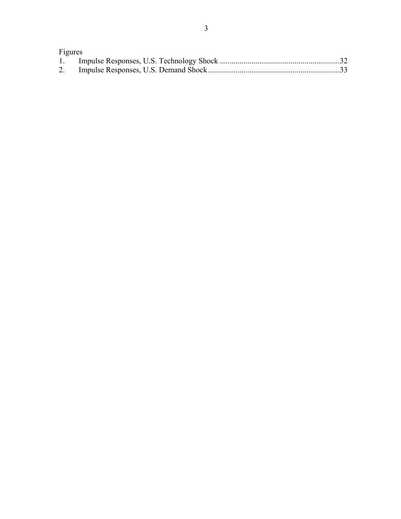| Figures |  |
|---------|--|
|         |  |
|         |  |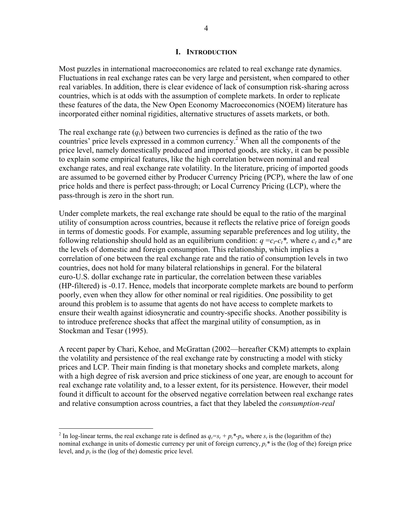#### **I. INTRODUCTION**

Most puzzles in international macroeconomics are related to real exchange rate dynamics. Fluctuations in real exchange rates can be very large and persistent, when compared to other real variables. In addition, there is clear evidence of lack of consumption risk-sharing across countries, which is at odds with the assumption of complete markets. In order to replicate these features of the data, the New Open Economy Macroeconomics (NOEM) literature has incorporated either nominal rigidities, alternative structures of assets markets, or both.

The real exchange rate  $(q_t)$  between two currencies is defined as the ratio of the two countries' price levels expressed in a common currency.<sup>2</sup> When all the components of the price level, namely domestically produced and imported goods, are sticky, it can be possible to explain some empirical features, like the high correlation between nominal and real exchange rates, and real exchange rate volatility. In the literature, pricing of imported goods are assumed to be governed either by Producer Currency Pricing (PCP), where the law of one price holds and there is perfect pass-through; or Local Currency Pricing (LCP), where the pass-through is zero in the short run.

Under complete markets, the real exchange rate should be equal to the ratio of the marginal utility of consumption across countries, because it reflects the relative price of foreign goods in terms of domestic goods. For example, assuming separable preferences and log utility, the following relationship should hold as an equilibrium condition:  $q = c_t - c_t^*$ , where  $c_t$  and  $c_t^*$  are the levels of domestic and foreign consumption. This relationship, which implies a correlation of one between the real exchange rate and the ratio of consumption levels in two countries, does not hold for many bilateral relationships in general. For the bilateral euro-U.S. dollar exchange rate in particular, the correlation between these variables (HP-filtered) is -0.17. Hence, models that incorporate complete markets are bound to perform poorly, even when they allow for other nominal or real rigidities. One possibility to get around this problem is to assume that agents do not have access to complete markets to ensure their wealth against idiosyncratic and country-specific shocks. Another possibility is to introduce preference shocks that affect the marginal utility of consumption, as in Stockman and Tesar (1995).

A recent paper by Chari, Kehoe, and McGrattan (2002—hereafter CKM) attempts to explain the volatility and persistence of the real exchange rate by constructing a model with sticky prices and LCP. Their main finding is that monetary shocks and complete markets, along with a high degree of risk aversion and price stickiness of one year, are enough to account for real exchange rate volatility and, to a lesser extent, for its persistence. However, their model found it difficult to account for the observed negative correlation between real exchange rates and relative consumption across countries, a fact that they labeled the *consumption-real* 

<sup>&</sup>lt;sup>2</sup> In log-linear terms, the real exchange rate is defined as  $q_t = s_t + p_t * p_t$ , where  $s_t$  is the (logarithm of the) nominal exchange in units of domestic currency per unit of foreign currency,  $p_t^*$  is the (log of the) foreign price level, and  $p_t$  is the (log of the) domestic price level.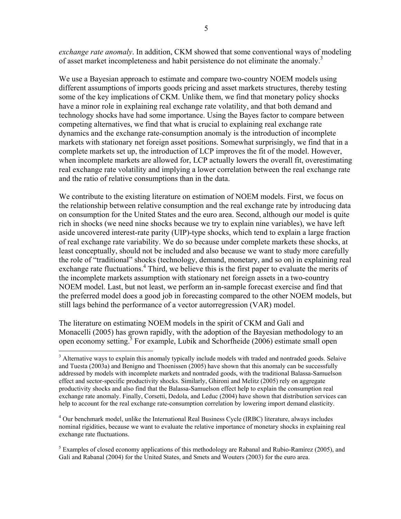*exchange rate anomaly*. In addition, CKM showed that some conventional ways of modeling of asset market incompleteness and habit persistence do not eliminate the anomaly.<sup>3</sup>

We use a Bayesian approach to estimate and compare two-country NOEM models using different assumptions of imports goods pricing and asset markets structures, thereby testing some of the key implications of CKM. Unlike them, we find that monetary policy shocks have a minor role in explaining real exchange rate volatility, and that both demand and technology shocks have had some importance. Using the Bayes factor to compare between competing alternatives, we find that what is crucial to explaining real exchange rate dynamics and the exchange rate-consumption anomaly is the introduction of incomplete markets with stationary net foreign asset positions. Somewhat surprisingly, we find that in a complete markets set up, the introduction of LCP improves the fit of the model. However, when incomplete markets are allowed for, LCP actually lowers the overall fit, overestimating real exchange rate volatility and implying a lower correlation between the real exchange rate and the ratio of relative consumptions than in the data.

We contribute to the existing literature on estimation of NOEM models. First, we focus on the relationship between relative consumption and the real exchange rate by introducing data on consumption for the United States and the euro area. Second, although our model is quite rich in shocks (we need nine shocks because we try to explain nine variables), we have left aside uncovered interest-rate parity (UIP)-type shocks, which tend to explain a large fraction of real exchange rate variability. We do so because under complete markets these shocks, at least conceptually, should not be included and also because we want to study more carefully the role of "traditional" shocks (technology, demand, monetary, and so on) in explaining real exchange rate fluctuations.<sup>4</sup> Third, we believe this is the first paper to evaluate the merits of the incomplete markets assumption with stationary net foreign assets in a two-country NOEM model. Last, but not least, we perform an in-sample forecast exercise and find that the preferred model does a good job in forecasting compared to the other NOEM models, but still lags behind the performance of a vector autorregression (VAR) model.

The literature on estimating NOEM models in the spirit of CKM and Galí and Monacelli (2005) has grown rapidly, with the adoption of the Bayesian methodology to an open economy setting.<sup>5</sup> For example, Lubik and Schorfheide (2006) estimate small open

1

<sup>4</sup> Our benchmark model, unlike the International Real Business Cycle (IRBC) literature, always includes nominal rigidities, because we want to evaluate the relative importance of monetary shocks in explaining real exchange rate fluctuations.

 $<sup>5</sup>$  Examples of closed economy applications of this methodology are Rabanal and Rubio-Ramírez (2005), and</sup> Galí and Rabanal (2004) for the United States, and Smets and Wouters (2003) for the euro area.

<sup>&</sup>lt;sup>3</sup> Alternative ways to explain this anomaly typically include models with traded and nontraded goods. Selaive and Tuesta (2003a) and Benigno and Thoenissen (2005) have shown that this anomaly can be successfully addressed by models with incomplete markets and nontraded goods, with the traditional Balassa-Samuelson effect and sector-specific productivity shocks. Similarly, Ghironi and Melitz (2005) rely on aggregate productivity shocks and also find that the Balassa-Samuelson effect help to explain the consumption real exchange rate anomaly. Finally, Corsetti, Dedola, and Leduc (2004) have shown that distribution services can help to account for the real exchange rate-consumption correlation by lowering import demand elasticity.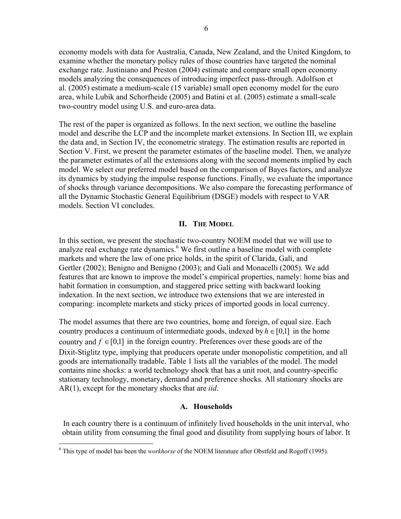economy models with data for Australia, Canada, New Zealand, and the United Kingdom, to examine whether the monetary policy rules of those countries have targeted the nominal exchange rate. Justiniano and Preston (2004) estimate and compare small open economy models analyzing the consequences of introducing imperfect pass-through. Adolfson et al. (2005) estimate a medium-scale (15 variable) small open economy model for the euro area, while Lubik and Schorfheide (2005) and Batini et al. (2005) estimate a small-scale two-country model using U.S. and euro-area data.

The rest of the paper is organized as follows. In the next section, we outline the baseline model and describe the LCP and the incomplete market extensions. In Section III, we explain the data and, in Section IV, the econometric strategy. The estimation results are reported in Section V. First, we present the parameter estimates of the baseline model. Then, we analyze the parameter estimates of all the extensions along with the second moments implied by each model. We select our preferred model based on the comparison of Bayes factors, and analyze its dynamics by studying the impulse response functions. Finally, we evaluate the importance of shocks through variance decompositions. We also compare the forecasting performance of all the Dynamic Stochastic General Equilibrium (DSGE) models with respect to VAR models. Section VI concludes.

#### **II. THE MODEL**

In this section, we present the stochastic two-country NOEM model that we will use to analyze real exchange rate dynamics.<sup>6</sup> We first outline a baseline model with complete markets and where the law of one price holds, in the spirit of Clarida, Galí, and Gertler (2002); Benigno and Benigno (2003); and Galí and Monacelli (2005). We add features that are known to improve the model's empirical properties, namely: home bias and habit formation in consumption, and staggered price setting with backward looking indexation. In the next section, we introduce two extensions that we are interested in comparing: incomplete markets and sticky prices of imported goods in local currency.

The model assumes that there are two countries, home and foreign, of equal size. Each country produces a continuum of intermediate goods, indexed by  $h \in [0,1]$  in the home country and  $f \in [0,1]$  in the foreign country. Preferences over these goods are of the Dixit-Stiglitz type, implying that producers operate under monopolistic competition, and all goods are internationally tradable. Table 1 lists all the variables of the model. The model contains nine shocks: a world technology shock that has a unit root, and country-specific stationary technology, monetary, demand and preference shocks. All stationary shocks are AR(1), except for the monetary shocks that are *iid*.

#### **A. Households**

In each country there is a continuum of infinitely lived households in the unit interval, who obtain utility from consuming the final good and disutility from supplying hours of labor. It

 6 This type of model has been the *workhorse* of the NOEM literature after Obstfeld and Rogoff (1995).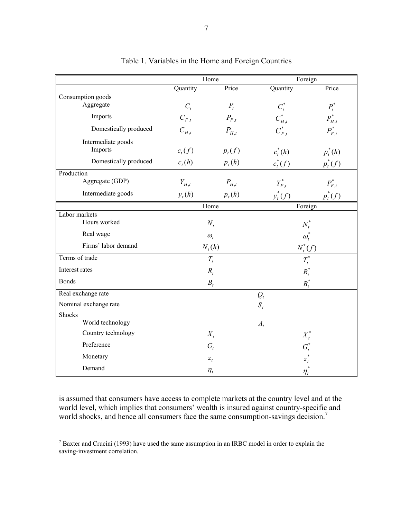|                       |           | Home               | Foreign      |             |  |
|-----------------------|-----------|--------------------|--------------|-------------|--|
|                       | Quantity  | Price              | Quantity     | Price       |  |
| Consumption goods     |           |                    |              |             |  |
| Aggregate             | $C_t$     | $P_t$              | $C_t^*$      | $P_t^*$     |  |
| Imports               | $C_{F,t}$ | $P_{F,t}$          | $C_{H,t}^*$  | $P_{H,t}^*$ |  |
| Domestically produced | $C_{H,t}$ | $P_{H,t}$          | $C_{F,t}^*$  | $P_{F,t}^*$ |  |
| Intermediate goods    |           |                    |              |             |  |
| Imports               | $c_t(f)$  | $p_t(f)$           | $c_t^*(h)$   | $p_t^*(h)$  |  |
| Domestically produced | $c_t(h)$  | $p_t(h)$           | $c_t^*(f)$   | $p_t^*(f)$  |  |
| Production            |           |                    |              |             |  |
| Aggregate (GDP)       | $Y_{H,t}$ | $P_{H,t}$          | $Y_{F,t}^*$  | $P^*_{F,t}$ |  |
| Intermediate goods    | $y_t(h)$  | $p_t(h)$           | $y_t^*(f)$   | $p_t^*(f)$  |  |
|                       |           | Home               | Foreign      |             |  |
| Labor markets         |           |                    |              |             |  |
| Hours worked          |           | $N_t$              | $N_t^*$      |             |  |
| Real wage             |           | $\omega_t$         | $\omega_t^*$ |             |  |
| Firms' labor demand   |           | $N_t(h)$           | $N_t^*(f)$   |             |  |
| Terms of trade        |           | $T_{t}$            | $T_t^*$      |             |  |
| Interest rates        |           | $R_t$              | $R_t^*$      |             |  |
| <b>Bonds</b>          |           | $B_t$              | $B_t^*$      |             |  |
| Real exchange rate    |           |                    | $Q_t$        |             |  |
| Nominal exchange rate |           |                    | $S_t$        |             |  |
| Shocks                |           |                    |              |             |  |
| World technology      |           |                    | $A_t$        |             |  |
| Country technology    |           | $X_t$              | $X_t^*$      |             |  |
| Preference            |           | $G_t$              | $G_t^*$      |             |  |
| Monetary              |           | $\boldsymbol{z}_t$ | $z_t^*$      |             |  |
| Demand                |           | $\eta_t$           | $\eta_t^*$   |             |  |

Table 1. Variables in the Home and Foreign Countries

is assumed that consumers have access to complete markets at the country level and at the world level, which implies that consumers' wealth is insured against country-specific and world shocks, and hence all consumers face the same consumption-savings decision.<sup>7</sup>

 $\frac{1}{7}$  Baxter and Crucini (1993) have used the same assumption in an IRBC model in order to explain the saving-investment correlation.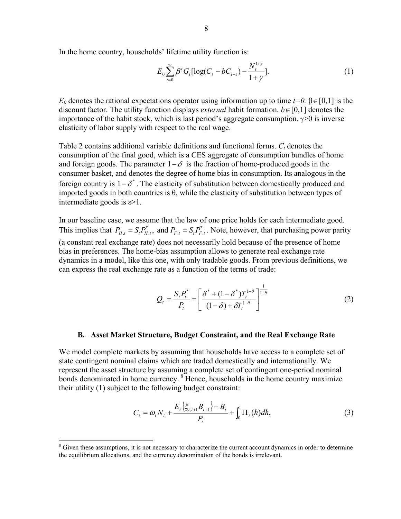$$
E_0 \sum_{t=0}^{\infty} \beta^t G_t [\log(C_t - bC_{t-1}) - \frac{N_t^{1+\gamma}}{1+\gamma}].
$$
 (1)

*E*<sub>0</sub> denotes the rational expectations operator using information up to time *t*=0. β∈[0,1] is the discount factor. The utility function displays *external* habit formation.  $b \in [0,1]$  denotes the importance of the habit stock, which is last period's aggregate consumption.  $\gamma$  > 0 is inverse elasticity of labor supply with respect to the real wage.

Table 2 contains additional variable definitions and functional forms.  $C_t$  denotes the consumption of the final good, which is a CES aggregate of consumption bundles of home and foreign goods. The parameter  $1-\delta$  is the fraction of home-produced goods in the consumer basket, and denotes the degree of home bias in consumption. Its analogous in the foreign country is  $1-\delta^*$ . The elasticity of substitution between domestically produced and imported goods in both countries is θ, while the elasticity of substitution between types of intermediate goods is  $\varepsilon$  > 1.

In our baseline case, we assume that the law of one price holds for each intermediate good. This implies that  $P_{H,t} = S_t P_{H,t}^*$ , and  $P_{F,t} = S_t P_{F,t}^*$ . Note, however, that purchasing power parity (a constant real exchange rate) does not necessarily hold because of the presence of home bias in preferences. The home-bias assumption allows to generate real exchange rate dynamics in a model, like this one, with only tradable goods. From previous definitions, we can express the real exchange rate as a function of the terms of trade:

$$
Q_{t} = \frac{S_{t}P_{t}^{*}}{P_{t}} = \left[\frac{\delta^{*} + (1 - \delta^{*})T_{t}^{1-\theta}}{(1-\delta) + \delta T_{t}^{1-\theta}}\right]^{\frac{1}{1-\theta}}
$$
(2)

#### **B. Asset Market Structure, Budget Constraint, and the Real Exchange Rate**

We model complete markets by assuming that households have access to a complete set of state contingent nominal claims which are traded domestically and internationally. We represent the asset structure by assuming a complete set of contingent one-period nominal bonds denominated in home currency. 8 Hence, households in the home country maximize their utility (1) subject to the following budget constraint:

$$
C_{t} = \omega_{t} N_{t} + \frac{E_{t} \{ \xi_{t,t+1} B_{t+1} \} - B_{t}}{P_{t}} + \int_{0}^{1} \Pi_{t}(h) dh,
$$
\n(3)

<sup>&</sup>lt;sup>8</sup> Given these assumptions, it is not necessary to characterize the current account dynamics in order to determine the equilibrium allocations, and the currency denomination of the bonds is irrelevant.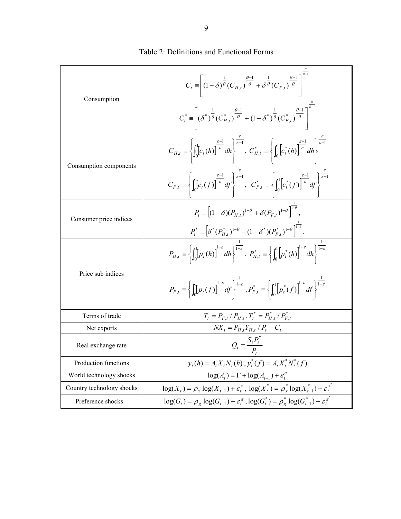| Consumption               | $C_t \equiv \left\lceil \left(1-\delta\right)^{\frac{1}{\theta}}(C_{H,t})^{\frac{\theta-1}{\theta}} + \delta^{\frac{1}{\theta}}(C_{F,t})^{\frac{\theta-1}{\theta}} \right\rceil^{\frac{\theta-1}{\theta-1}}$<br>$C_t^* = \left[ (\delta^*)^{\frac{1}{\theta}} (C_{H,t}^*)^{\frac{\theta-1}{\theta}} + (1 - \delta^*)^{\frac{1}{\theta}} (C_{F,t}^*)^{\frac{\theta-1}{\theta}} \right]^{0}$ |
|---------------------------|--------------------------------------------------------------------------------------------------------------------------------------------------------------------------------------------------------------------------------------------------------------------------------------------------------------------------------------------------------------------------------------------|
| Consumption components    | $C_{H,t} = \left\{ \int_0^1 [c_t(h)]^{\frac{\varepsilon-1}{\varepsilon}} dh \right\}^{\frac{\varepsilon}{\varepsilon-1}}, C_{H,t}^* = \left\{ \int_0^1 [c_t^*(h)]^{\frac{\varepsilon-1}{\varepsilon}} dh \right\}^{\frac{\varepsilon}{\varepsilon-1}}$                                                                                                                                     |
|                           | $C_{F,t} = \left\{ \int_0^1 [c_t(f)]^{\frac{\varepsilon-1}{\varepsilon}} df \right\}^{\frac{\varepsilon}{\varepsilon-1}}, \quad C_{F,t}^* = \left\{ \int_0^1 [c_t^*(f)]^{\frac{\varepsilon-1}{\varepsilon}} df \right\}^{\frac{\varepsilon}{\varepsilon-1}}$                                                                                                                               |
| Consumer price indices    | $P_{i} = \left[ (1 - \delta)(P_{H_{i}})^{1-\theta} + \delta(P_{F_{i}})^{1-\theta} \right]^{1-\theta}$                                                                                                                                                                                                                                                                                      |
|                           | $P_t^* \equiv \left[ \delta^*(P_{H,t}^*)^{1-\theta} + (1-\delta^*)(P_{F,t}^*)^{1-\theta} \right]^{1-\theta}$                                                                                                                                                                                                                                                                               |
| Price sub indices         | $P_{H,t} \equiv \left\{ \int_0^t \left[ p_t(h) \right]^{1-\varepsilon} dh \right\}^{\overline{1-\varepsilon}},\; P_{H,t}^* \equiv \left\{ \int_0^1 \left[ p_t^*(h) \right]^{1-\varepsilon} dh \right\}^{\overline{1-\varepsilon}}$                                                                                                                                                         |
|                           | $P_{F,t} = \left\{ \int_0^1 [p_t(f)]^{1-\varepsilon} df \right\}^{\frac{1}{1-\varepsilon}}, P_{F,t}^* = \left\{ \int_0^1 [p_t^*(f)]^{1-\varepsilon} df \right\}^{\frac{1}{1-\varepsilon}}$                                                                                                                                                                                                 |
| Terms of trade            | $T_t = P_{F,t} / P_{H,t}$ , $T_t^* = P_{H,t}^* / P_{F,t}^*$                                                                                                                                                                                                                                                                                                                                |
| Net exports               | $NX_t = P_{H,t}Y_{H,t} / P_t - C_t$                                                                                                                                                                                                                                                                                                                                                        |
| Real exchange rate        | $Q_t = \frac{S_t P_t}{P_t}$                                                                                                                                                                                                                                                                                                                                                                |
| Production functions      | $y_t(h) = A_t X_t N_t(h)$ , $y_t^*(f) = A_t X_t^* N_t^*(f)$                                                                                                                                                                                                                                                                                                                                |
| World technology shocks   | $\log(A_t) = \Gamma + \log(A_{t-1}) + \varepsilon$                                                                                                                                                                                                                                                                                                                                         |
| Country technology shocks | $log(X_t) = \rho_x log(X_{t-1}) + \varepsilon_t^x$ , $log(X_t^*) = \rho_x^* log(X_{t-1}^*) + \varepsilon_t^x$                                                                                                                                                                                                                                                                              |
| Preference shocks         | $\log(G_t) = \rho_g \log(G_{t-1}) + \varepsilon_t^g$ , $\log(G_t^*) = \rho_g^* \log(G_{t-1}^*) + \varepsilon_t^g$                                                                                                                                                                                                                                                                          |

Table 2: Definitions and Functional Forms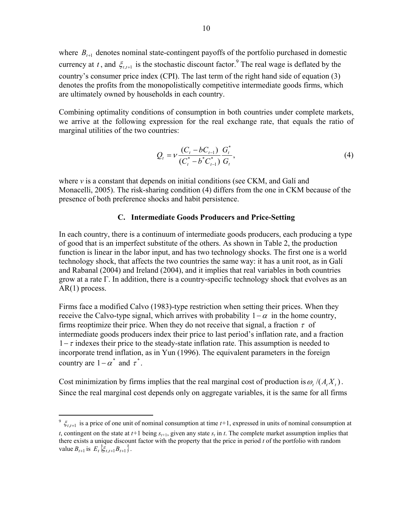where  $B_{t+1}$  denotes nominal state-contingent payoffs of the portfolio purchased in domestic currency at *t*, and  $\xi_{t,t+1}$  is the stochastic discount factor.<sup>9</sup> The real wage is deflated by the country's consumer price index (CPI). The last term of the right hand side of equation (3) denotes the profits from the monopolistically competitive intermediate goods firms, which are ultimately owned by households in each country.

Combining optimality conditions of consumption in both countries under complete markets, we arrive at the following expression for the real exchange rate, that equals the ratio of marginal utilities of the two countries:

$$
Q_{t} = \nu \frac{(C_{t} - bC_{t-1})}{(C_{t}^{*} - b^{*}C_{t-1}^{*})} \frac{G_{t}^{*}}{G_{t}},
$$
\n(4)

where *ν* is a constant that depends on initial conditions (see CKM, and Galí and Monacelli, 2005). The risk-sharing condition (4) differs from the one in CKM because of the presence of both preference shocks and habit persistence.

#### **C. Intermediate Goods Producers and Price-Setting**

In each country, there is a continuum of intermediate goods producers, each producing a type of good that is an imperfect substitute of the others. As shown in Table 2, the production function is linear in the labor input, and has two technology shocks. The first one is a world technology shock, that affects the two countries the same way: it has a unit root, as in Galí and Rabanal (2004) and Ireland (2004), and it implies that real variables in both countries grow at a rate Γ. In addition, there is a country-specific technology shock that evolves as an AR(1) process.

Firms face a modified Calvo (1983)-type restriction when setting their prices. When they receive the Calvo-type signal, which arrives with probability  $1-\alpha$  in the home country, firms reoptimize their price. When they do not receive that signal, a fraction  $\tau$  of intermediate goods producers index their price to last period's inflation rate, and a fraction  $1-\tau$  indexes their price to the steady-state inflation rate. This assumption is needed to incorporate trend inflation, as in Yun (1996). The equivalent parameters in the foreign country are  $1-\alpha^*$  and  $\tau^*$ .

Cost minimization by firms implies that the real marginal cost of production is  $\omega$ ,  $/(A_t X_t)$ . Since the real marginal cost depends only on aggregate variables, it is the same for all firms

 $\zeta_{t,t+1}$  is a price of one unit of nominal consumption at time  $t+1$ , expressed in units of nominal consumption at *t*, contingent on the state at  $t+1$  being  $s_{t+1}$ , given any state  $s_t$  in  $t$ . The complete market assumption implies that there exists a unique discount factor with the property that the price in period *t* of the portfolio with random value  $B_{t+1}$  is  $E_{t} \{ \xi_{t,t+1} B_{t+1} \}$ .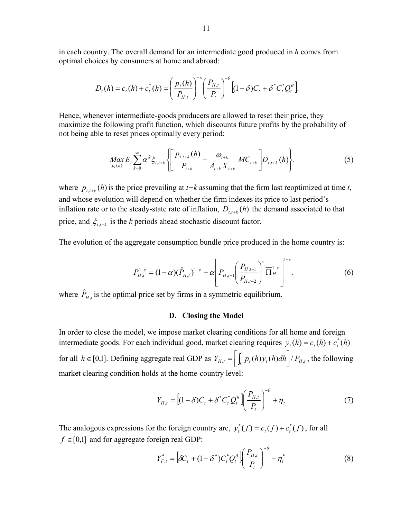in each country. The overall demand for an intermediate good produced in *h* comes from optimal choices by consumers at home and abroad:

$$
D_{t}(h) = c_{t}(h) + c_{t}^{*}(h) = \left(\frac{p_{t}(h)}{P_{H,t}}\right)^{-\varepsilon} \left(\frac{P_{H,t}}{P_{t}}\right)^{-\theta} \left[(1-\delta)C_{t} + \delta^{*}C_{t}^{*}Q_{t}^{\theta}\right]
$$

Hence, whenever intermediate-goods producers are allowed to reset their price, they maximize the following profit function, which discounts future profits by the probability of not being able to reset prices optimally every period:

$$
\underset{p_{t}(h)}{\text{Max}} E_{t} \sum_{k=0}^{\infty} \alpha^{k} \xi_{t,t+k} \left\{ \left[ \frac{p_{t,t+k}(h)}{P_{t+k}} - \frac{\omega_{t+k}}{A_{t+k} X_{t+k}} MC_{t+k} \right] D_{t,t+k}(h) \right\}.
$$
 (5)

where  $p_{t,t+k}(h)$  is the price prevailing at  $t+k$  assuming that the firm last reoptimized at time  $t$ , and whose evolution will depend on whether the firm indexes its price to last period's inflation rate or to the steady-state rate of inflation,  $D_{t,t+k}(h)$  the demand associated to that price, and  $\xi_{t,t+k}$  is the *k* periods ahead stochastic discount factor.

The evolution of the aggregate consumption bundle price produced in the home country is:

$$
P_{H,t}^{1-\varepsilon} = (1-\alpha)(\hat{P}_{H,t})^{1-\varepsilon} + \alpha \left[ P_{H,t-1} \left( \frac{P_{H,t-1}}{P_{H,t-2}} \right)^{\tau} \overline{\Pi}_{H}^{1-\tau} \right]^{1-\varepsilon}.
$$
 (6)

where  $\hat{P}_{H,t}$  is the optimal price set by firms in a symmetric equilibrium.

#### **D. Closing the Model**

In order to close the model, we impose market clearing conditions for all home and foreign intermediate goods. For each individual good, market clearing requires  $y_t(h) = c_t(h) + c_t^*(h)$ for all  $h \in [0,1]$ . Defining aggregate real GDP as  $Y_{H,t} = \left[ \int_0^1 p_t(h) y_t(h) dh \right] / P_{H,t}$ , the following market clearing condition holds at the home-country level:

$$
Y_{H,t} = \left[ (1 - \delta)C_t + \delta^* C_t^* Q_t^{\theta} \right] \left( \frac{P_{H,t}}{P_t} \right)^{-\theta} + \eta_t \tag{7}
$$

The analogous expressions for the foreign country are,  $y_t^*(f) = c_t(f) + c_t^*(f)$ , for all  $f \in [0,1]$  and for aggregate foreign real GDP:

$$
Y_{F,t}^* = \left[ \delta C_t + (1 - \delta^*) C_t^* Q_t^{\theta} \right] \left( \frac{P_{H,t}}{P_t} \right)^{-\theta} + \eta_t^* \tag{8}
$$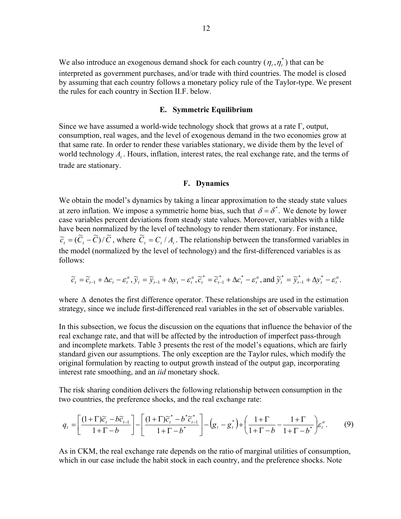We also introduce an exogenous demand shock for each country  $(\eta_t, \eta_t^*)$  that can be interpreted as government purchases, and/or trade with third countries. The model is closed by assuming that each country follows a monetary policy rule of the Taylor-type. We present the rules for each country in Section II.F. below.

## **E. Symmetric Equilibrium**

Since we have assumed a world-wide technology shock that grows at a rate  $\Gamma$ , output, consumption, real wages, and the level of exogenous demand in the two economies grow at that same rate. In order to render these variables stationary, we divide them by the level of world technology  $A_t$ . Hours, inflation, interest rates, the real exchange rate, and the terms of trade are stationary.

#### **F. Dynamics**

We obtain the model's dynamics by taking a linear approximation to the steady state values at zero inflation. We impose a symmetric home bias, such that  $\delta = \delta^*$ . We denote by lower case variables percent deviations from steady state values. Moreover, variables with a tilde have been normalized by the level of technology to render them stationary. For instance,  $\tilde{c}_t = (\tilde{C}_t - \tilde{C})/\tilde{C}$ , where  $\tilde{C}_t = C_t/A_t$ . The relationship between the transformed variables in the model (normalized by the level of technology) and the first-differenced variables is as follows:

$$
\widetilde{c}_t = \widetilde{c}_{t-1} + \Delta c_t - \varepsilon_t^a, \widetilde{y}_t = \widetilde{y}_{t-1} + \Delta y_t - \varepsilon_t^a, \widetilde{c}_t^* = \widetilde{c}_{t-1}^* + \Delta c_t^* - \varepsilon_t^a, \text{ and } \widetilde{y}_t^* = \widetilde{y}_{t-1}^* + \Delta y_t^* - \varepsilon_t^a.
$$

where ∆ denotes the first difference operator. These relationships are used in the estimation strategy, since we include first-differenced real variables in the set of observable variables.

In this subsection, we focus the discussion on the equations that influence the behavior of the real exchange rate, and that will be affected by the introduction of imperfect pass-through and incomplete markets. Table 3 presents the rest of the model's equations, which are fairly standard given our assumptions. The only exception are the Taylor rules, which modify the original formulation by reacting to output growth instead of the output gap, incorporating interest rate smoothing, and an *iid* monetary shock.

The risk sharing condition delivers the following relationship between consumption in the two countries, the preference shocks, and the real exchange rate:

$$
q_{t} = \left[\frac{(1+\Gamma)\widetilde{c}_{t} - b\widetilde{c}_{t-1}}{1+\Gamma-b}\right] - \left[\frac{(1+\Gamma)\widetilde{c}_{t}^{*} - b^{*}\widetilde{c}_{t-1}^{*}}{1+\Gamma-b^{*}}\right] - \left(g_{t} - g_{t}^{*}\right) + \left(\frac{1+\Gamma}{1+\Gamma-b} - \frac{1+\Gamma}{1+\Gamma-b^{*}}\right)\varepsilon_{t}^{a}.\tag{9}
$$

As in CKM, the real exchange rate depends on the ratio of marginal utilities of consumption, which in our case include the habit stock in each country, and the preference shocks. Note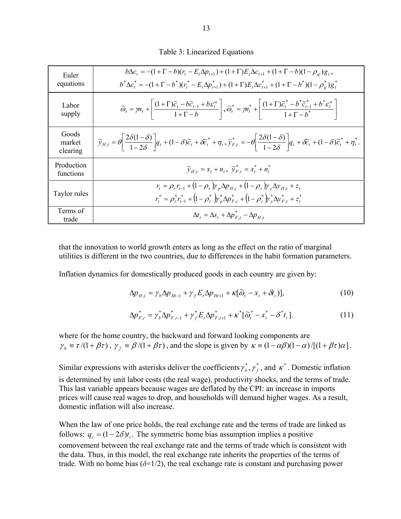|  | Table 3: Linearized Equations |
|--|-------------------------------|

| Euler<br>equations          | $b\Delta c_t = -(1+\Gamma-b)(r_t-E_t\Delta p_{t+1}) + (1+\Gamma)E_t\Delta c_{t+1} + (1+\Gamma-b)(1-\rho_{\varphi})g_t$<br>$b^*\Delta c^* = -(1+\Gamma-b^*)(r^* - E_t\Delta p^*_{t+1}) + (1+\Gamma)E_t\Delta c^*_{t+1} + (1+\Gamma-b^*)(1-\rho^*)g^*_t$                                                                     |
|-----------------------------|----------------------------------------------------------------------------------------------------------------------------------------------------------------------------------------------------------------------------------------------------------------------------------------------------------------------------|
| Labor<br>supply             | $\widetilde{\omega}_t = m_t + \left  \frac{(1+\Gamma)\widetilde{c}_t - b\widetilde{c}_{t-1} + b\varepsilon_t^a}{1+\Gamma-b} \right , \widetilde{\omega}_t^* = m_t^* + \left  \frac{(1+\Gamma)\widetilde{c}_t^* - b^*\widetilde{c}_{t-1}^* + b^*\varepsilon_t^a}{1+\Gamma-b^*} \right $                                     |
| Goods<br>market<br>clearing | $\widetilde{y}_{H,t} = \theta \left  \frac{2\delta(1-\delta)}{1-\delta\delta} \right  q_t + (1-\delta)\widetilde{c}_t + \delta \widetilde{c}_t^* + \eta_t, \widetilde{y}_{F,t}^* = -\theta \left  \frac{2\delta(1-\delta)}{1-\delta\delta} \right  q_t + \delta \widetilde{c}_t + (1-\delta)\widetilde{c}_t^* + \eta_t^*.$ |
| Production<br>functions     | $\widetilde{y}_{H_t} = x_t + n_t$ , $\widetilde{y}_{F_t}^* = x_t^* + n_t^*$                                                                                                                                                                                                                                                |
| Taylor rules                | $r_t = \rho_r r_{t-1} + (1 - \rho_r) \gamma_p \Delta p_{H_t} + (1 - \rho_r) \gamma_v \Delta y_{H_t} + z_t$<br>$r_t^* = \rho_r^* r_{t-1}^* + (1 - \rho_r^*) r_n^* \Delta p_{F,t}^* + (1 - \rho_r^*) r_v^* \Delta y_{F,t}^* + z_t^*$                                                                                         |
| Terms of<br>trade           | $\Delta t_t = \Delta s_t + \Delta p_{F,t}^* - \Delta p_{H,t}$                                                                                                                                                                                                                                                              |

that the innovation to world growth enters as long as the effect on the ratio of marginal utilities is different in the two countries, due to differences in the habit formation parameters.

Inflation dynamics for domestically produced goods in each country are given by:

$$
\Delta p_{H,t} = \gamma_b \Delta p_{Ht-1} + \gamma_f E_t \Delta p_{Ht+1} + \kappa [\widetilde{\omega}_t - x_t + \delta t_t)],
$$
\n(10)

$$
\Delta p_{F,t}^* = \gamma_b^* \Delta p_{F,t-1}^* + \gamma_f^* E_t \Delta p_{F,t+1}^* + \kappa^* [\widetilde{\omega}_t^* - x_t^* - \delta^* t_t]. \tag{11}
$$

where for the home country, the backward and forward looking components are  $\gamma_b \equiv \tau/(1+\beta\tau)$ ,  $\gamma_f \equiv \beta/(1+\beta\tau)$ , and the slope is given by  $\kappa \equiv (1-\alpha\beta)(1-\alpha)/[(1+\beta\tau)\alpha]$ .

Similar expressions with asterisks deliver the coefficients  $\gamma_b^*$ ,  $\gamma_f^*$ , and  $\kappa^*$ . Domestic inflation is determined by unit labor costs (the real wage), productivity shocks, and the terms of trade. This last variable appears because wages are deflated by the CPI: an increase in imports prices will cause real wages to drop, and households will demand higher wages. As a result, domestic inflation will also increase.

When the law of one price holds, the real exchange rate and the terms of trade are linked as follows:  $q_t = (1 - 2\delta)t_t$ . The symmetric home bias assumption implies a positive comovement between the real exchange rate and the terms of trade which is consistent with the data. Thus, in this model, the real exchange rate inherits the properties of the terms of trade. With no home bias  $(\delta=1/2)$ , the real exchange rate is constant and purchasing power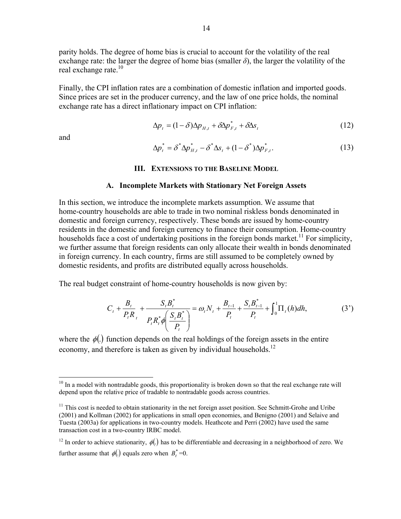parity holds. The degree of home bias is crucial to account for the volatility of the real exchange rate: the larger the degree of home bias (smaller  $\delta$ ), the larger the volatility of the real exchange rate.<sup>10</sup>

Finally, the CPI inflation rates are a combination of domestic inflation and imported goods. Since prices are set in the producer currency, and the law of one price holds, the nominal exchange rate has a direct inflationary impact on CPI inflation:

$$
\Delta p_t = (1 - \delta) \Delta p_{H,t} + \delta \Delta p_{F,t}^* + \delta \Delta s_t \tag{12}
$$

and

1

$$
\Delta p_t^* = \delta^* \Delta p_{H,t}^* - \delta^* \Delta s_t + (1 - \delta^*) \Delta p_{F,t}^*.
$$
\n(13)

#### **III. EXTENSIONS TO THE BASELINE MODEL**

#### **A. Incomplete Markets with Stationary Net Foreign Assets**

In this section, we introduce the incomplete markets assumption. We assume that home-country households are able to trade in two nominal riskless bonds denominated in domestic and foreign currency, respectively. These bonds are issued by home-country residents in the domestic and foreign currency to finance their consumption. Home-country households face a cost of undertaking positions in the foreign bonds market.<sup>11</sup> For simplicity, we further assume that foreign residents can only allocate their wealth in bonds denominated in foreign currency. In each country, firms are still assumed to be completely owned by domestic residents, and profits are distributed equally across households.

The real budget constraint of home-country households is now given by:

$$
C_{t} + \frac{B_{t}}{P_{t}R_{t}} + \frac{S_{t}B_{t}^{*}}{P_{t}R_{t}^{*}\phi\left(\frac{S_{t}B_{t}^{*}}{P_{t}}\right)} = \omega_{t}N_{t} + \frac{B_{t-1}}{P_{t}} + \frac{S_{t}B_{t-1}^{*}}{P_{t}} + \int_{0}^{1}\Pi_{t}(h)dh,
$$
(3')

where the  $\phi(.)$  function depends on the real holdings of the foreign assets in the entire economy, and therefore is taken as given by individual households.<sup>12</sup>

<sup>&</sup>lt;sup>10</sup> In a model with nontradable goods, this proportionality is broken down so that the real exchange rate will depend upon the relative price of tradable to nontradable goods across countries.

 $11$  This cost is needed to obtain stationarity in the net foreign asset position. See Schmitt-Grohe and Uribe (2001) and Kollman (2002) for applications in small open economies, and Benigno (2001) and Selaive and Tuesta (2003a) for applications in two-country models. Heathcote and Perri (2002) have used the same transaction cost in a two-country IRBC model.

<sup>&</sup>lt;sup>12</sup> In order to achieve stationarity,  $\phi(.)$  has to be differentiable and decreasing in a neighborhood of zero. We further assume that  $\phi(.)$  equals zero when  $B_t^* = 0$ .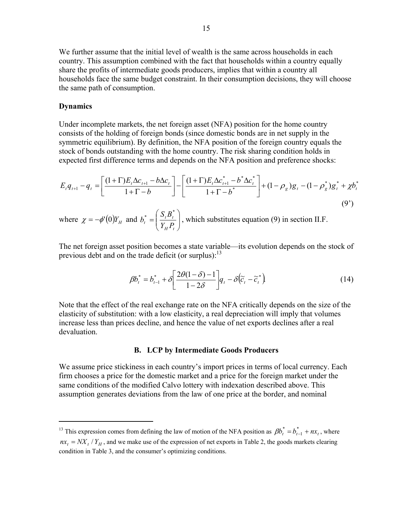We further assume that the initial level of wealth is the same across households in each country. This assumption combined with the fact that households within a country equally share the profits of intermediate goods producers, implies that within a country all households face the same budget constraint. In their consumption decisions, they will choose the same path of consumption.

#### **Dynamics**

 $\overline{a}$ 

Under incomplete markets, the net foreign asset (NFA) position for the home country consists of the holding of foreign bonds (since domestic bonds are in net supply in the symmetric equilibrium). By definition, the NFA position of the foreign country equals the stock of bonds outstanding with the home country. The risk sharing condition holds in expected first difference terms and depends on the NFA position and preference shocks:

$$
E_t q_{t+1} - q_t = \left[ \frac{(1+\Gamma)E_t \Delta c_{t+1} - b \Delta c_t}{1+\Gamma - b} \right] - \left[ \frac{(1+\Gamma)E_t \Delta c_{t+1}^* - b^* \Delta c_t^*}{1+\Gamma - b^*} \right] + (1-\rho_g)g_t - (1-\rho_g^*)g_t^* + \chi b_t^*
$$
\n(9')

where  $\chi = -\phi'(0) Y_H$  and  $b_t^* = \left| \frac{S_t B_t}{Y P} \right|$ ⎠ ⎞  $\parallel$ ⎝  $=\bigg($ *H t*  $t^* = \left(\frac{B_t D_t}{Y_H P_t}\right)$  $b_i^* = \left(\frac{S_i B_i^*}{S_i} \right)$ , which substitutes equation (9) in section II.F.

The net foreign asset position becomes a state variable—its evolution depends on the stock of previous debt and on the trade deficit (or surplus):  $13$ 

$$
\beta b_t^* = b_{t-1}^* + \delta \left[ \frac{2\theta(1-\delta)-1}{1-2\delta} \right] q_t - \delta (\widetilde{c}_t - \widetilde{c}_t^*)
$$
\n(14)

Note that the effect of the real exchange rate on the NFA critically depends on the size of the elasticity of substitution: with a low elasticity, a real depreciation will imply that volumes increase less than prices decline, and hence the value of net exports declines after a real devaluation.

#### **B. LCP by Intermediate Goods Producers**

We assume price stickiness in each country's import prices in terms of local currency. Each firm chooses a price for the domestic market and a price for the foreign market under the same conditions of the modified Calvo lottery with indexation described above. This assumption generates deviations from the law of one price at the border, and nominal

<sup>&</sup>lt;sup>13</sup> This expression comes from defining the law of motion of the NFA position as  $\beta b_t^* = b_{t-1}^* + nx_t$ , where

 $nx_t = N X_t / Y_H$ , and we make use of the expression of net exports in Table 2, the goods markets clearing condition in Table 3, and the consumer's optimizing conditions.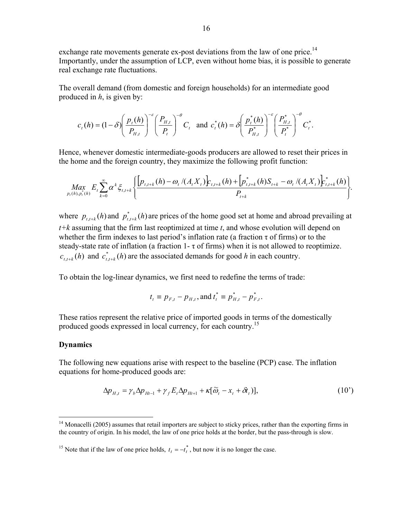exchange rate movements generate ex-post deviations from the law of one price.<sup>14</sup> Importantly, under the assumption of LCP, even without home bias, it is possible to generate real exchange rate fluctuations.

The overall demand (from domestic and foreign households) for an intermediate good produced in *h*, is given by:

$$
c_t(h) = (1 - \delta) \left(\frac{p_t(h)}{P_{H,t}}\right)^{-\epsilon} \left(\frac{P_{H,t}}{P_t}\right)^{-\theta} C_t \text{ and } c_t^*(h) = \delta \left(\frac{p_t^*(h)}{P_{H,t}^*}\right)^{-\epsilon} \left(\frac{P_{H,t}^*}{P_t^*}\right)^{-\theta} C_t^*.
$$

Hence, whenever domestic intermediate-goods producers are allowed to reset their prices in the home and the foreign country, they maximize the following profit function:

$$
\underset{P_{t}(h),p_{t}^{*}(h)}{\underset{M}{\text{Max}}} E_{t} \sum_{k=0}^{\infty} \alpha^{k} \xi_{t,t+k} \left\{ \frac{\left[p_{t,t+k}(h) - \omega_{t} / (A_{t} X_{t})\right] c_{t,t+k}(h) + \left[p_{t,t+k}^{*}(h) S_{t+k} - \omega_{t} / (A_{t} X_{t})\right] c_{t,t+k}(h)}{P_{t+k}}\right\}.
$$

where  $p_{t,t+k}(h)$  and  $p_{t,t+k}^*(h)$  are prices of the home good set at home and abroad prevailing at *t+k* assuming that the firm last reoptimized at time *t*, and whose evolution will depend on whether the firm indexes to last period's inflation rate (a fraction  $\tau$  of firms) or to the steady-state rate of inflation (a fraction  $1-\tau$  of firms) when it is not allowed to reoptimize.  $c_{t,t+k}(h)$  and  $c_{t,t+k}^*(h)$  are the associated demands for good *h* in each country.

To obtain the log-linear dynamics, we first need to redefine the terms of trade:

$$
t_t \equiv p_{F,t} - p_{H,t}
$$
, and  $t_t^* \equiv p_{H,t}^* - p_{F,t}^*$ .

These ratios represent the relative price of imported goods in terms of the domestically produced goods expressed in local currency, for each country.15

#### **Dynamics**

 $\overline{a}$ 

The following new equations arise with respect to the baseline (PCP) case. The inflation equations for home-produced goods are:

$$
\Delta p_{H,t} = \gamma_b \Delta p_{Ht-1} + \gamma_f E_t \Delta p_{Ht+1} + \kappa [\tilde{\omega}_t - x_t + \tilde{\sigma}_t)],
$$
\n(10')

<sup>&</sup>lt;sup>14</sup> Monacelli (2005) assumes that retail importers are subject to sticky prices, rather than the exporting firms in the country of origin. In his model, the law of one price holds at the border, but the pass-through is slow.

<sup>&</sup>lt;sup>15</sup> Note that if the law of one price holds,  $t_t = -t_t^*$ , but now it is no longer the case.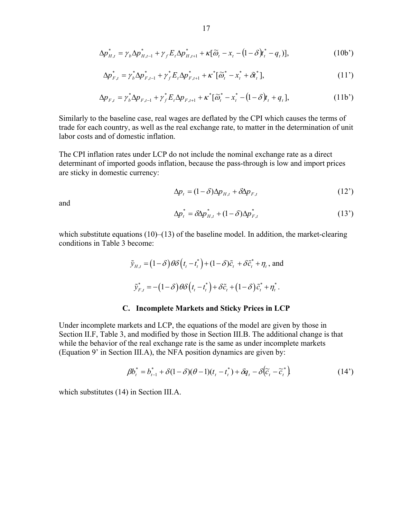$$
\Delta p_{H,t}^* = \gamma_b \Delta p_{H,t-1}^* + \gamma_f E_t \Delta p_{H,t+1}^* + \kappa [\tilde{\omega}_t - x_t - (1 - \delta) t_t^* - q_t)],
$$
\n(10b')

$$
\Delta p_{F,t}^* = \gamma_b^* \Delta p_{F,t-1}^* + \gamma_f^* E_t \Delta p_{F,t+1}^* + \kappa^* [\widetilde{\omega}_t^* - x_t^* + \delta t_t^*], \qquad (11')
$$

$$
\Delta p_{F,t} = \gamma_b^* \Delta p_{F,t-1} + \gamma_f^* E_t \Delta p_{F,t+1} + \kappa^* [\tilde{\omega}_t^* - x_t^* - (1 - \delta)t_t + q_t], \qquad (11b')
$$

Similarly to the baseline case, real wages are deflated by the CPI which causes the terms of trade for each country, as well as the real exchange rate, to matter in the determination of unit labor costs and of domestic inflation.

The CPI inflation rates under LCP do not include the nominal exchange rate as a direct determinant of imported goods inflation, because the pass-through is low and import prices are sticky in domestic currency:

$$
\Delta p_t = (1 - \delta) \Delta p_{H,t} + \delta \Delta p_{F,t} \tag{12'}
$$

and  
\n
$$
\Delta p_i^* = \delta \Delta p_{H,t}^* + (1 - \delta) \Delta p_{F,t}^* \tag{13'}
$$

which substitute equations  $(10)$ – $(13)$  of the baseline model. In addition, the market-clearing conditions in Table 3 become:

$$
\tilde{y}_{H,t} = (1 - \delta) \theta \delta \left( t_t - t_t^* \right) + (1 - \delta) \tilde{c}_t + \delta \tilde{c}_t^* + \eta_t \text{, and}
$$
\n
$$
\tilde{y}_{F,t}^* = -(1 - \delta) \theta \delta \left( t_t - t_t^* \right) + \delta \tilde{c}_t + (1 - \delta) \tilde{c}_t^* + \eta_t^*.
$$

#### **C. Incomplete Markets and Sticky Prices in LCP**

Under incomplete markets and LCP, the equations of the model are given by those in Section II.F, Table 3, and modified by those in Section III.B. The additional change is that while the behavior of the real exchange rate is the same as under incomplete markets (Equation 9' in Section III.A), the NFA position dynamics are given by:

$$
\beta b_t^* = b_{t-1}^* + \delta (1 - \delta)(\theta - 1)(t_t - t_t^*) + \delta q_t - \delta(\widetilde{c}_t - \widetilde{c}_t^*)
$$
\n(14')

which substitutes (14) in Section III.A.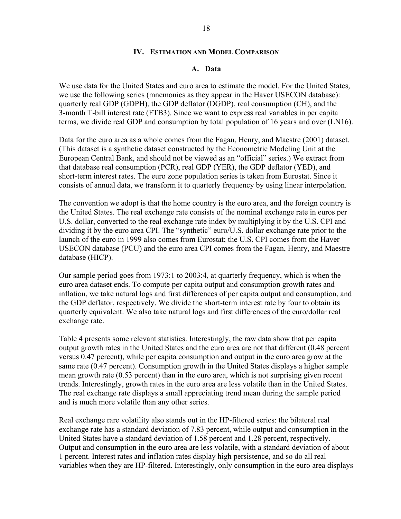#### **IV. ESTIMATION AND MODEL COMPARISON**

#### **A. Data**

We use data for the United States and euro area to estimate the model. For the United States, we use the following series (mnemonics as they appear in the Haver USECON database): quarterly real GDP (GDPH), the GDP deflator (DGDP), real consumption (CH), and the 3-month T-bill interest rate (FTB3). Since we want to express real variables in per capita terms, we divide real GDP and consumption by total population of 16 years and over (LN16).

Data for the euro area as a whole comes from the Fagan, Henry, and Maestre (2001) dataset. (This dataset is a synthetic dataset constructed by the Econometric Modeling Unit at the European Central Bank, and should not be viewed as an "official" series.) We extract from that database real consumption (PCR), real GDP (YER), the GDP deflator (YED), and short-term interest rates. The euro zone population series is taken from Eurostat. Since it consists of annual data, we transform it to quarterly frequency by using linear interpolation.

The convention we adopt is that the home country is the euro area, and the foreign country is the United States. The real exchange rate consists of the nominal exchange rate in euros per U.S. dollar, converted to the real exchange rate index by multiplying it by the U.S. CPI and dividing it by the euro area CPI. The "synthetic" euro/U.S. dollar exchange rate prior to the launch of the euro in 1999 also comes from Eurostat; the U.S. CPI comes from the Haver USECON database (PCU) and the euro area CPI comes from the Fagan, Henry, and Maestre database (HICP).

Our sample period goes from 1973:1 to 2003:4, at quarterly frequency, which is when the euro area dataset ends. To compute per capita output and consumption growth rates and inflation, we take natural logs and first differences of per capita output and consumption, and the GDP deflator, respectively. We divide the short-term interest rate by four to obtain its quarterly equivalent. We also take natural logs and first differences of the euro/dollar real exchange rate.

Table 4 presents some relevant statistics. Interestingly, the raw data show that per capita output growth rates in the United States and the euro area are not that different (0.48 percent versus 0.47 percent), while per capita consumption and output in the euro area grow at the same rate (0.47 percent). Consumption growth in the United States displays a higher sample mean growth rate (0.53 percent) than in the euro area, which is not surprising given recent trends. Interestingly, growth rates in the euro area are less volatile than in the United States. The real exchange rate displays a small appreciating trend mean during the sample period and is much more volatile than any other series.

Real exchange rare volatility also stands out in the HP-filtered series: the bilateral real exchange rate has a standard deviation of 7.83 percent, while output and consumption in the United States have a standard deviation of 1.58 percent and 1.28 percent, respectively. Output and consumption in the euro area are less volatile, with a standard deviation of about 1 percent. Interest rates and inflation rates display high persistence, and so do all real variables when they are HP-filtered. Interestingly, only consumption in the euro area displays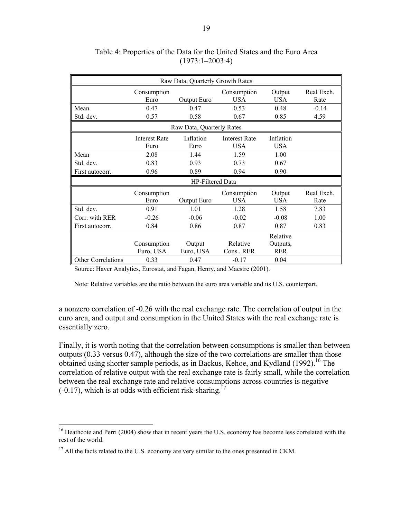| Raw Data, Quarterly Growth Rates                                                                                                                                                                                                                                                                                                                                                                                                                                                                           |                          |                     |                           |                                    |                    |  |  |  |
|------------------------------------------------------------------------------------------------------------------------------------------------------------------------------------------------------------------------------------------------------------------------------------------------------------------------------------------------------------------------------------------------------------------------------------------------------------------------------------------------------------|--------------------------|---------------------|---------------------------|------------------------------------|--------------------|--|--|--|
|                                                                                                                                                                                                                                                                                                                                                                                                                                                                                                            | Consumption<br>Euro      | Output Euro         | Consumption<br><b>USA</b> | Output<br><b>USA</b>               | Real Exch.<br>Rate |  |  |  |
| Mean                                                                                                                                                                                                                                                                                                                                                                                                                                                                                                       | 0.47                     | 0.47                | 0.53                      | 0.48                               | $-0.14$            |  |  |  |
| Std. dev.                                                                                                                                                                                                                                                                                                                                                                                                                                                                                                  | 0.57                     | 0.58                | 0.67                      | 0.85                               | 4.59               |  |  |  |
| Raw Data, Quarterly Rates<br>Inflation<br>Inflation<br><b>Interest Rate</b><br><b>Interest Rate</b><br><b>USA</b><br><b>USA</b><br>Euro<br>Euro<br>Mean<br>2.08<br>1.00<br>1.44<br>1.59<br>Std. dev.<br>0.83<br>0.93<br>0.73<br>0.67<br>0.96<br>0.89<br>0.94<br>0.90<br>First autocorr.<br>HP-Filtered Data<br>Consumption<br>Consumption<br>Output<br><b>USA</b><br>USA<br>Euro<br>Output Euro<br>Std. dev.<br>1.01<br>0.91<br>1 28<br>1.58<br>Corr. with RER<br>$-0.26$<br>$-0.06$<br>$-0.02$<br>$-0.08$ |                          |                     |                           |                                    |                    |  |  |  |
|                                                                                                                                                                                                                                                                                                                                                                                                                                                                                                            |                          |                     |                           |                                    |                    |  |  |  |
|                                                                                                                                                                                                                                                                                                                                                                                                                                                                                                            |                          |                     |                           |                                    |                    |  |  |  |
|                                                                                                                                                                                                                                                                                                                                                                                                                                                                                                            |                          |                     |                           |                                    |                    |  |  |  |
|                                                                                                                                                                                                                                                                                                                                                                                                                                                                                                            |                          |                     |                           |                                    |                    |  |  |  |
|                                                                                                                                                                                                                                                                                                                                                                                                                                                                                                            |                          |                     |                           |                                    |                    |  |  |  |
|                                                                                                                                                                                                                                                                                                                                                                                                                                                                                                            |                          |                     |                           |                                    | Real Exch.<br>Rate |  |  |  |
|                                                                                                                                                                                                                                                                                                                                                                                                                                                                                                            |                          |                     |                           |                                    | 7.83               |  |  |  |
|                                                                                                                                                                                                                                                                                                                                                                                                                                                                                                            |                          |                     |                           |                                    | 1.00               |  |  |  |
| First autocorr.                                                                                                                                                                                                                                                                                                                                                                                                                                                                                            | 0.84                     | 0.86                | 0.87                      | 0.87                               | 0.83               |  |  |  |
|                                                                                                                                                                                                                                                                                                                                                                                                                                                                                                            | Consumption<br>Euro, USA | Output<br>Euro, USA | Relative<br>Cons., RER    | Relative<br>Outputs,<br><b>RER</b> |                    |  |  |  |
| <b>Other Correlations</b>                                                                                                                                                                                                                                                                                                                                                                                                                                                                                  | 0.33                     | 0.47                | $-0.17$                   | 0.04                               |                    |  |  |  |

## Table 4: Properties of the Data for the United States and the Euro Area (1973:1–2003:4)

Source: Haver Analytics, Eurostat, and Fagan, Henry, and Maestre (2001).

Note: Relative variables are the ratio between the euro area variable and its U.S. counterpart.

a nonzero correlation of -0.26 with the real exchange rate. The correlation of output in the euro area, and output and consumption in the United States with the real exchange rate is essentially zero.

Finally, it is worth noting that the correlation between consumptions is smaller than between outputs (0.33 versus 0.47), although the size of the two correlations are smaller than those obtained using shorter sample periods, as in Backus, Kehoe, and Kydland (1992).<sup>16</sup> The correlation of relative output with the real exchange rate is fairly small, while the correlation between the real exchange rate and relative consumptions across countries is negative  $(-0.17)$ , which is at odds with efficient risk-sharing.<sup>17</sup>

<sup>&</sup>lt;sup>16</sup> Heathcote and Perri (2004) show that in recent years the U.S. economy has become less correlated with the rest of the world.

 $17$  All the facts related to the U.S. economy are very similar to the ones presented in CKM.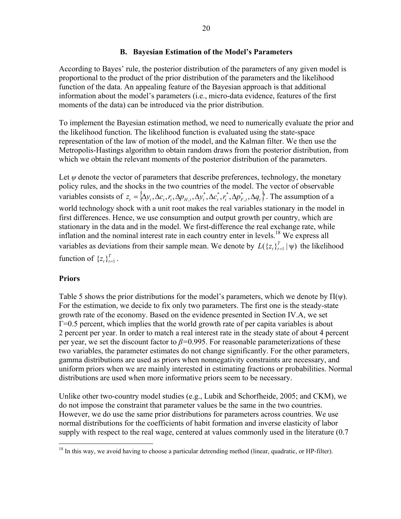## **B. Bayesian Estimation of the Model's Parameters**

According to Bayes' rule, the posterior distribution of the parameters of any given model is proportional to the product of the prior distribution of the parameters and the likelihood function of the data. An appealing feature of the Bayesian approach is that additional information about the model's parameters (i.e., micro-data evidence, features of the first moments of the data) can be introduced via the prior distribution.

To implement the Bayesian estimation method, we need to numerically evaluate the prior and the likelihood function. The likelihood function is evaluated using the state-space representation of the law of motion of the model, and the Kalman filter. We then use the Metropolis-Hastings algorithm to obtain random draws from the posterior distribution, from which we obtain the relevant moments of the posterior distribution of the parameters.

Let  $\psi$  denote the vector of parameters that describe preferences, technology, the monetary policy rules, and the shocks in the two countries of the model. The vector of observable variables consists of  $z_t = \langle \Delta y_t, \Delta c_t, r_t, \Delta p_{H,t}, \Delta y_t^*, \Delta c_t^*, r_t^*, \Delta p_{F,t}^*, \Delta q_t \rangle$  $z_t = {\Delta y_t, \Delta c_t, r_t, \Delta p_{H,t}, \Delta y_t^*, \Delta c_t^*, r_t^*, \Delta p_{F,t}^*, \Delta q_t}.$  The assumption of a world technology shock with a unit root makes the real variables stationary in the model in first differences. Hence, we use consumption and output growth per country, which are stationary in the data and in the model. We first-difference the real exchange rate, while inflation and the nominal interest rate in each country enter in levels.18 We express all variables as deviations from their sample mean. We denote by  $L(\lbrace z_t \rbrace_{t=1}^T | \psi)$  the likelihood function of  $\{z_t\}_{t=1}^T$ .

## **Priors**

Table 5 shows the prior distributions for the model's parameters, which we denote by  $\Pi(\psi)$ . For the estimation, we decide to fix only two parameters. The first one is the steady-state growth rate of the economy. Based on the evidence presented in Section IV.A, we set Γ=0.5 percent, which implies that the world growth rate of per capita variables is about 2 percent per year. In order to match a real interest rate in the steady state of about 4 percent per year, we set the discount factor to *β=*0.995. For reasonable parameterizations of these two variables, the parameter estimates do not change significantly. For the other parameters, gamma distributions are used as priors when nonnegativity constraints are necessary, and uniform priors when we are mainly interested in estimating fractions or probabilities. Normal distributions are used when more informative priors seem to be necessary.

Unlike other two-country model studies (e.g., Lubik and Schorfheide, 2005; and CKM), we do not impose the constraint that parameter values be the same in the two countries. However, we do use the same prior distributions for parameters across countries. We use normal distributions for the coefficients of habit formation and inverse elasticity of labor supply with respect to the real wage, centered at values commonly used in the literature (0.7

<sup>1</sup>  $18$  In this way, we avoid having to choose a particular detrending method (linear, quadratic, or HP-filter).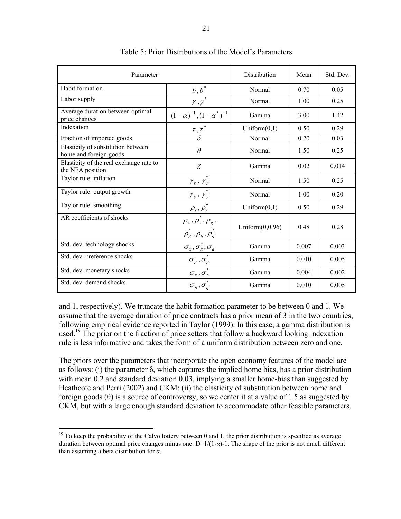| Parameter                                                    |                                                                                                                    | Distribution       | Mean  | Std. Dev. |
|--------------------------------------------------------------|--------------------------------------------------------------------------------------------------------------------|--------------------|-------|-----------|
| Habit formation                                              | $\underline{b},\underline{b}^*$                                                                                    | Normal             | 0.70  | 0.05      |
| Labor supply                                                 | $\gamma$ , $\gamma$                                                                                                | Normal             | 1.00  | 0.25      |
| Average duration between optimal<br>price changes            | $(1-\alpha)^{-1}, (1-\alpha^*)^{-1}$                                                                               | Gamma              | 3.00  | 1.42      |
| Indexation                                                   | $\tau, \tau^*$                                                                                                     | Uniform $(0,1)$    | 0.50  | 0.29      |
| Fraction of imported goods                                   |                                                                                                                    | Normal             | 0.20  | 0.03      |
| Elasticity of substitution between<br>home and foreign goods | $\theta$                                                                                                           | Normal             | 1.50  | 0.25      |
| Elasticity of the real exchange rate to<br>the NFA position  | $\chi$                                                                                                             | Gamma              | 0.02  | 0.014     |
| Taylor rule: inflation                                       | $\gamma_p,\,\gamma_p$                                                                                              | Normal             | 1.50  | 0.25      |
| Taylor rule: output growth                                   | $\gamma_y$ , $\gamma_y^*$                                                                                          | Normal             | 1.00  | 0.20      |
| Taylor rule: smoothing                                       | $\rho_r, \rho_r^*$                                                                                                 | Uniform $(0,1)$    | 0.50  | 0.29      |
| AR coefficients of shocks                                    | $\rho_{\rm r}$ , $\rho_{\rm r}^{\dagger}$ , $\rho_{\rm g}$ ,<br>$\rho_{g}^{*}$ , $\rho_{\eta}$ , $\rho_{\eta}^{*}$ | Uniform $(0,0.96)$ | 0.48  | 0.28      |
| Std. dev. technology shocks                                  | $\sigma_x, \sigma_x, \sigma_a$                                                                                     | Gamma              | 0.007 | 0.003     |
| Std. dev. preference shocks                                  | $\sigma_g^{},\sigma_g^*$                                                                                           | Gamma              | 0.010 | 0.005     |
| Std. dev. monetary shocks                                    | $\sigma_z$ , $\sigma_z$ <sup>*</sup>                                                                               | Gamma              | 0.004 | 0.002     |
| Std. dev. demand shocks                                      | $\sigma_n, \sigma_n$ <sup>*</sup>                                                                                  | Gamma              | 0.010 | 0.005     |

Table 5: Prior Distributions of the Model's Parameters

and 1, respectively). We truncate the habit formation parameter to be between 0 and 1. We assume that the average duration of price contracts has a prior mean of 3 in the two countries, following empirical evidence reported in Taylor (1999). In this case, a gamma distribution is used.<sup>19</sup> The prior on the fraction of price setters that follow a backward looking indexation rule is less informative and takes the form of a uniform distribution between zero and one.

The priors over the parameters that incorporate the open economy features of the model are as follows: (i) the parameter δ, which captures the implied home bias, has a prior distribution with mean 0.2 and standard deviation 0.03, implying a smaller home-bias than suggested by Heathcote and Perri (2002) and CKM; (ii) the elasticity of substitution between home and foreign goods  $(\theta)$  is a source of controversy, so we center it at a value of 1.5 as suggested by CKM, but with a large enough standard deviation to accommodate other feasible parameters,

<sup>&</sup>lt;sup>19</sup> To keep the probability of the Calvo lottery between 0 and 1, the prior distribution is specified as average duration between optimal price changes minus one: D=1/(1-*α*)-1. The shape of the prior is not much different than assuming a beta distribution for *α*.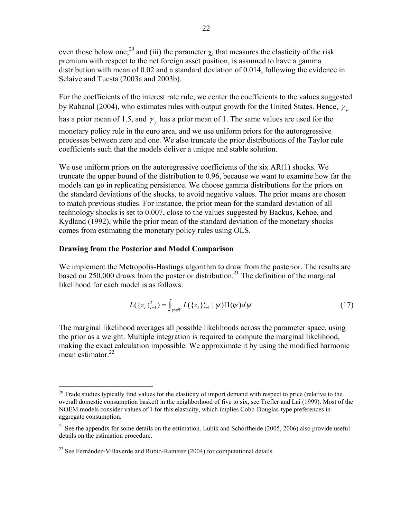even those below one;<sup>20</sup> and (iii) the parameter  $\chi$ , that measures the elasticity of the risk premium with respect to the net foreign asset position, is assumed to have a gamma distribution with mean of 0.02 and a standard deviation of 0.014, following the evidence in Selaive and Tuesta (2003a and 2003b).

For the coefficients of the interest rate rule, we center the coefficients to the values suggested by Rabanal (2004), who estimates rules with output growth for the United States. Hence,  $\gamma_n$ 

has a prior mean of 1.5, and  $\gamma$ <sub>y</sub> has a prior mean of 1. The same values are used for the monetary policy rule in the euro area, and we use uniform priors for the autoregressive processes between zero and one. We also truncate the prior distributions of the Taylor rule coefficients such that the models deliver a unique and stable solution.

We use uniform priors on the autoregressive coefficients of the six AR(1) shocks. We truncate the upper bound of the distribution to 0.96, because we want to examine how far the models can go in replicating persistence. We choose gamma distributions for the priors on the standard deviations of the shocks, to avoid negative values. The prior means are chosen to match previous studies. For instance, the prior mean for the standard deviation of all technology shocks is set to 0.007, close to the values suggested by Backus, Kehoe, and Kydland (1992), while the prior mean of the standard deviation of the monetary shocks comes from estimating the monetary policy rules using OLS.

## **Drawing from the Posterior and Model Comparison**

We implement the Metropolis-Hastings algorithm to draw from the posterior. The results are based on 250,000 draws from the posterior distribution.<sup>21</sup> The definition of the marginal likelihood for each model is as follows:

$$
L(\{z_t\}_{t=1}^T) = \int_{\psi \in \Psi} L(\{z_t\}_{t=1}^T | \psi) \Pi(\psi) d\psi
$$
 (17)

The marginal likelihood averages all possible likelihoods across the parameter space, using the prior as a weight. Multiple integration is required to compute the marginal likelihood, making the exact calculation impossible. We approximate it by using the modified harmonic mean estimator  $^{22}$ 

<sup>1</sup>  $20$  Trade studies typically find values for the elasticity of import demand with respect to price (relative to the overall domestic consumption basket) in the neighborhood of five to six, see Trefler and Lai (1999). Most of the NOEM models consider values of 1 for this elasticity, which implies Cobb-Douglas-type preferences in aggregate consumption.

<sup>&</sup>lt;sup>21</sup> See the appendix for some details on the estimation. Lubik and Schorfheide (2005, 2006) also provide useful details on the estimation procedure.

<sup>&</sup>lt;sup>22</sup> See Fernández-Villaverde and Rubio-Ramírez (2004) for computational details.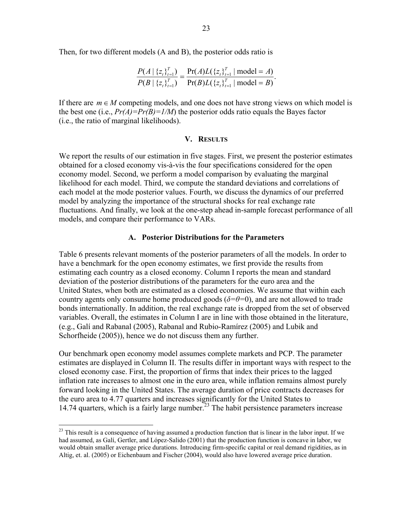Then, for two different models (A and B), the posterior odds ratio is

$$
\frac{P(A \mid \{z_t\}_{t=1}^T)}{P(B \mid \{z_t\}_{t=1}^T)} = \frac{\Pr(A)L(\{z_t\}_{t=1}^T \mid \text{model} = A)}{\Pr(B)L(\{z_t\}_{t=1}^T \mid \text{model} = B)}.
$$

If there are  $m \in M$  competing models, and one does not have strong views on which model is the best one (i.e.,  $Pr(A) = Pr(B) = 1/M$ ) the posterior odds ratio equals the Bayes factor (i.e., the ratio of marginal likelihoods).

#### **V. RESULTS**

We report the results of our estimation in five stages. First, we present the posterior estimates obtained for a closed economy vis-à-vis the four specifications considered for the open economy model. Second, we perform a model comparison by evaluating the marginal likelihood for each model. Third, we compute the standard deviations and correlations of each model at the mode posterior values. Fourth, we discuss the dynamics of our preferred model by analyzing the importance of the structural shocks for real exchange rate fluctuations. And finally, we look at the one-step ahead in-sample forecast performance of all models, and compare their performance to VARs.

#### **A. Posterior Distributions for the Parameters**

Table 6 presents relevant moments of the posterior parameters of all the models. In order to have a benchmark for the open economy estimates, we first provide the results from estimating each country as a closed economy. Column I reports the mean and standard deviation of the posterior distributions of the parameters for the euro area and the United States, when both are estimated as a closed economies. We assume that within each country agents only consume home produced goods ( $\delta = \theta = 0$ ), and are not allowed to trade bonds internationally. In addition, the real exchange rate is dropped from the set of observed variables. Overall, the estimates in Column I are in line with those obtained in the literature, (e.g., Galí and Rabanal (2005), Rabanal and Rubio-Ramírez (2005) and Lubik and Schorfheide (2005)), hence we do not discuss them any further.

Our benchmark open economy model assumes complete markets and PCP. The parameter estimates are displayed in Column II. The results differ in important ways with respect to the closed economy case. First, the proportion of firms that index their prices to the lagged inflation rate increases to almost one in the euro area, while inflation remains almost purely forward looking in the United States. The average duration of price contracts decreases for the euro area to 4.77 quarters and increases significantly for the United States to 14.74 quarters, which is a fairly large number.<sup>23</sup> The habit persistence parameters increase

<sup>&</sup>lt;sup>23</sup> This result is a consequence of having assumed a production function that is linear in the labor input. If we had assumed, as Galí, Gertler, and López-Salido (2001) that the production function is concave in labor, we would obtain smaller average price durations. Introducing firm-specific capital or real demand rigidities, as in Altig, et. al. (2005) or Eichenbaum and Fischer (2004), would also have lowered average price duration.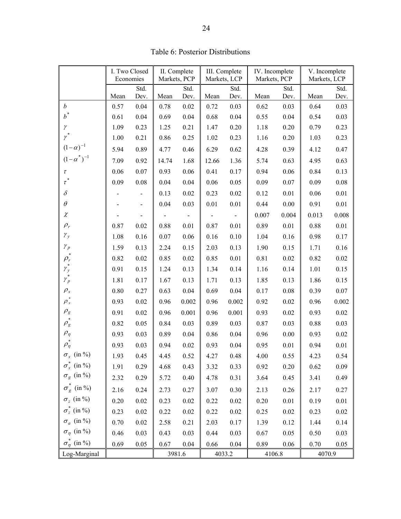|                                          | I. Two Closed<br>Economies |                          | II. Complete<br>Markets, PCP |          | III. Complete<br>Markets, LCP |          | IV. Incomplete<br>Markets, PCP |          | V. Incomplete<br>Markets, LCP |          |
|------------------------------------------|----------------------------|--------------------------|------------------------------|----------|-------------------------------|----------|--------------------------------|----------|-------------------------------|----------|
|                                          |                            | Std.                     | Std.<br>Std.                 |          |                               | Std.     | Std.                           |          |                               |          |
|                                          | Mean                       | Dev.                     | Mean                         | Dev.     | Mean                          | Dev.     | Mean                           | Dev.     | Mean                          | Dev.     |
| $\boldsymbol{b}$                         | 0.57                       | 0.04                     | 0.78                         | $0.02\,$ | 0.72                          | 0.03     | 0.62                           | 0.03     | 0.64                          | 0.03     |
| $b^*$                                    | 0.61                       | 0.04                     | 0.69                         | 0.04     | 0.68                          | 0.04     | 0.55                           | 0.04     | 0.54                          | 0.03     |
| $\gamma$                                 | 1.09                       | 0.23                     | 1.25                         | 0.21     | 1.47                          | 0.20     | 1.18                           | 0.20     | 0.79                          | 0.23     |
| $\gamma^*$                               | 1.00                       | 0.21                     | 0.86                         | 0.25     | 1.02                          | 0.23     | 1.16                           | 0.20     | 1.03                          | 0.23     |
| $(1-\alpha)^{-1}$<br>$(1-\alpha^*)^{-1}$ | 5.94                       | 0.89                     | 4.77                         | 0.46     | 6.29                          | 0.62     | 4.28                           | 0.39     | 4.12                          | 0.47     |
|                                          | 7.09                       | 0.92                     | 14.74                        | 1.68     | 12.66                         | 1.36     | 5.74                           | 0.63     | 4.95                          | 0.63     |
| $\tau$                                   | 0.06                       | 0.07                     | 0.93                         | 0.06     | 0.41                          | 0.17     | 0.94                           | 0.06     | 0.84                          | 0.13     |
| $\tau^*$                                 | 0.09                       | $0.08\,$                 | 0.04                         | 0.04     | 0.06                          | 0.05     | 0.09                           | 0.07     | 0.09                          | 0.08     |
| $\delta$                                 |                            | $\overline{\phantom{0}}$ | 0.13                         | 0.02     | 0.23                          | $0.02\,$ | 0.12                           | 0.01     | 0.06                          | 0.01     |
| $\theta$                                 |                            | $\overline{\phantom{0}}$ | 0.04                         | 0.03     | 0.01                          | 0.01     | 0.44                           | $0.00\,$ | 0.91                          | $0.01\,$ |
| $\chi$                                   |                            | $\overline{\phantom{0}}$ |                              |          |                               |          | 0.007                          | 0.004    | 0.013                         | 0.008    |
| $\rho_{\scriptscriptstyle r}$            | 0.87                       | 0.02                     | 0.88                         | 0.01     | 0.87                          | 0.01     | 0.89                           | 0.01     | 0.88                          | 0.01     |
| $\mathcal{V}_{\mathcal{Y}}$              | 1.08                       | $0.16\,$                 | 0.07                         | 0.06     | 0.16                          | 0.10     | 1.04                           | 0.16     | 0.98                          | 0.17     |
| $\mathcal{Y}_p$                          | 1.59                       | 0.13                     | 2.24                         | 0.15     | 2.03                          | 0.13     | 1.90                           | 0.15     | 1.71                          | $0.16\,$ |
| $\rho_{\rm r}$                           | 0.82                       | $0.02\,$                 | 0.85                         | 0.02     | 0.85                          | 0.01     | 0.81                           | 0.02     | 0.82                          | 0.02     |
| $\gamma_y^*$                             | 0.91                       | 0.15                     | 1.24                         | 0.13     | 1.34                          | 0.14     | 1.16                           | 0.14     | 1.01                          | 0.15     |
| $\gamma_p^*$                             | 1.81                       | 0.17                     | 1.67                         | 0.13     | 1.71                          | 0.13     | 1.85                           | 0.13     | 1.86                          | 0.15     |
| $\rho_{\rm x}$                           | 0.80                       | 0.27                     | 0.63                         | 0.04     | 0.69                          | 0.04     | 0.17                           | 0.08     | 0.39                          | $0.07\,$ |
| $\rho_x^*$                               | 0.93                       | 0.02                     | 0.96                         | 0.002    | 0.96                          | 0.002    | 0.92                           | 0.02     | 0.96                          | 0.002    |
| $\rho_{\rm g}$                           | 0.91                       | 0.02                     | 0.96                         | 0.001    | 0.96                          | 0.001    | 0.93                           | 0.02     | 0.93                          | 0.02     |
| $\rho_{\rm g}$                           | 0.82                       | 0.05                     | 0.84                         | 0.03     | 0.89                          | 0.03     | 0.87                           | 0.03     | 0.88                          | 0.03     |
| $\rho_{\eta}$                            | 0.93                       | 0.03                     | 0.89                         | 0.04     | 0.86                          | $0.04\,$ | 0.96                           | 0.00     | 0.93                          | 0.02     |
| $\rho_\eta^*$                            | 0.93                       | 0.03                     | 0.94                         | $0.02\,$ | 0.93                          | $0.04\,$ | 0.95                           | $0.01\,$ | 0.94                          | $0.01\,$ |
| $\sigma_x$ (in %)                        | 1.93                       | 0.45                     | 4.45                         | 0.52     | 4.27                          | 0.48     | 4.00                           | 0.55     | 4.23                          | 0.54     |
| $\sigma_x^*$ (in %)                      | 1.91                       | 0.29                     | 4.68                         | 0.43     | 3.32                          | 0.33     | 0.92                           | 0.20     | 0.62                          | 0.09     |
| $\sigma_g$ (in %)                        | 2.32                       | 0.29                     | 5.72                         | $0.40\,$ | 4.78                          | 0.31     | 3.64                           | 0.45     | 3.41                          | 0.49     |
| $\sigma_g^*$ (in %)                      | 2.16                       | 0.24                     | 2.73                         | 0.27     | 3.07                          | 0.30     | 2.13                           | 0.26     | 2.17                          | 0.27     |
| $\sigma_z$ (in %)                        | $0.20\,$                   | $0.02\,$                 | 0.23                         | $0.02\,$ | 0.22                          | $0.02\,$ | $0.20\,$                       | $0.01\,$ | 0.19                          | $0.01\,$ |
| $\sigma_z^*$ (in %)                      | 0.23                       | $0.02\,$                 | 0.22                         | $0.02\,$ | 0.22                          | 0.02     | 0.25                           | $0.02\,$ | 0.23                          | $0.02\,$ |
| $\sigma_a$ (in %)                        | 0.70                       | $0.02\,$                 | 2.58                         | 0.21     | 2.03                          | 0.17     | 1.39                           | 0.12     | 1.44                          | 0.14     |
| $\sigma_{\eta}$ (in %)                   | 0.46                       | 0.03                     | 0.43                         | 0.03     | 0.44                          | 0.03     | 0.67                           | 0.05     | 0.50                          | 0.03     |
| $\sigma_n^*$ (in %)                      | 0.69                       | 0.05                     | 0.67                         | $0.04\,$ | 0.66                          | 0.04     | 0.89                           | 0.06     | 0.70                          | 0.05     |
| Log-Marginal                             |                            |                          |                              | 3981.6   |                               | 4033.2   | 4106.8                         |          | 4070.9                        |          |

Table 6: Posterior Distributions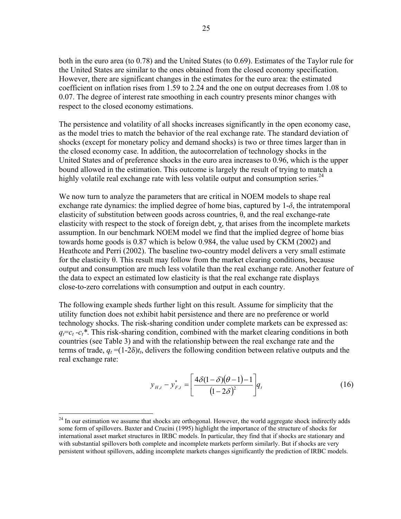both in the euro area (to 0.78) and the United States (to 0.69). Estimates of the Taylor rule for the United States are similar to the ones obtained from the closed economy specification. However, there are significant changes in the estimates for the euro area: the estimated coefficient on inflation rises from 1.59 to 2.24 and the one on output decreases from 1.08 to 0.07. The degree of interest rate smoothing in each country presents minor changes with respect to the closed economy estimations.

The persistence and volatility of all shocks increases significantly in the open economy case, as the model tries to match the behavior of the real exchange rate. The standard deviation of shocks (except for monetary policy and demand shocks) is two or three times larger than in the closed economy case. In addition, the autocorrelation of technology shocks in the United States and of preference shocks in the euro area increases to 0.96, which is the upper bound allowed in the estimation. This outcome is largely the result of trying to match a highly volatile real exchange rate with less volatile output and consumption series.  $24$ 

We now turn to analyze the parameters that are critical in NOEM models to shape real exchange rate dynamics: the implied degree of home bias, captured by  $1-\delta$ , the intratemporal elasticity of substitution between goods across countries,  $\theta$ , and the real exchange-rate elasticity with respect to the stock of foreign debt,  $\chi$ , that arises from the incomplete markets assumption. In our benchmark NOEM model we find that the implied degree of home bias towards home goods is 0.87 which is below 0.984, the value used by CKM (2002) and Heathcote and Perri (2002). The baseline two-country model delivers a very small estimate for the elasticity θ. This result may follow from the market clearing conditions, because output and consumption are much less volatile than the real exchange rate. Another feature of the data to expect an estimated low elasticity is that the real exchange rate displays close-to-zero correlations with consumption and output in each country.

The following example sheds further light on this result. Assume for simplicity that the utility function does not exhibit habit persistence and there are no preference or world technology shocks. The risk-sharing condition under complete markets can be expressed as:  $q_f = c_t - c_t^*$ . This risk-sharing condition, combined with the market clearing conditions in both countries (see Table 3) and with the relationship between the real exchange rate and the terms of trade,  $q_t = (1-2\delta)t_t$ , delivers the following condition between relative outputs and the real exchange rate:

$$
y_{H,t} - y_{F,t}^* = \left[ \frac{4\delta(1-\delta)(\theta-1)-1}{(1-2\delta)^2} \right] q_t
$$
 (16)

<sup>&</sup>lt;sup>24</sup> In our estimation we assume that shocks are orthogonal. However, the world aggregate shock indirectly adds some form of spillovers. Baxter and Crucini (1995) highlight the importance of the structure of shocks for international asset market structures in IRBC models. In particular, they find that if shocks are stationary and with substantial spillovers both complete and incomplete markets perform similarly. But if shocks are very persistent without spillovers, adding incomplete markets changes significantly the prediction of IRBC models.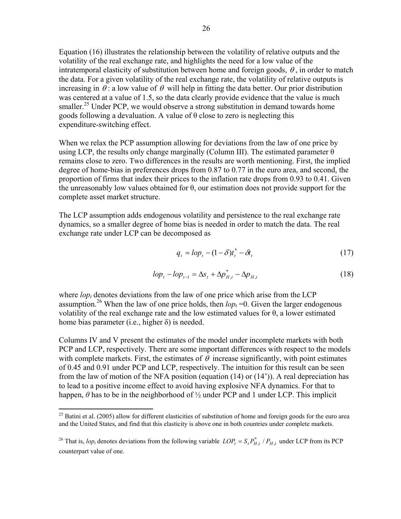Equation (16) illustrates the relationship between the volatility of relative outputs and the volatility of the real exchange rate, and highlights the need for a low value of the intratemporal elasticity of substitution between home and foreign goods,  $\theta$ , in order to match the data. For a given volatility of the real exchange rate, the volatility of relative outputs is increasing in  $\theta$ : a low value of  $\theta$  will help in fitting the data better. Our prior distribution was centered at a value of 1.5, so the data clearly provide evidence that the value is much smaller.<sup>25</sup> Under PCP, we would observe a strong substitution in demand towards home goods following a devaluation. A value of  $\theta$  close to zero is neglecting this expenditure-switching effect.

When we relax the PCP assumption allowing for deviations from the law of one price by using LCP, the results only change marginally (Column III). The estimated parameter  $\theta$ remains close to zero. Two differences in the results are worth mentioning. First, the implied degree of home-bias in preferences drops from 0.87 to 0.77 in the euro area, and second, the proportion of firms that index their prices to the inflation rate drops from 0.93 to 0.41. Given the unreasonably low values obtained for θ, our estimation does not provide support for the complete asset market structure.

The LCP assumption adds endogenous volatility and persistence to the real exchange rate dynamics, so a smaller degree of home bias is needed in order to match the data. The real exchange rate under LCP can be decomposed as

$$
q_t = lop_t - (1 - \delta)t_t^* - \delta t_t \tag{17}
$$

$$
lop_{t} - lop_{t-1} = \Delta s_{t} + \Delta p_{H,t}^{*} - \Delta p_{H,t}
$$
\n(18)

where  $\log_{t}$  denotes deviations from the law of one price which arise from the LCP assumption.<sup>26</sup> When the law of one price holds, then  $lop_t = 0$ . Given the larger endogenous volatility of the real exchange rate and the low estimated values for θ, a lower estimated home bias parameter (i.e., higher  $\delta$ ) is needed.

Columns IV and V present the estimates of the model under incomplete markets with both PCP and LCP, respectively. There are some important differences with respect to the models with complete markets. First, the estimates of  $\theta$  increase significantly, with point estimates of 0.45 and 0.91 under PCP and LCP, respectively. The intuition for this result can be seen from the law of motion of the NFA position (equation (14) or (14')). A real depreciation has to lead to a positive income effect to avoid having explosive NFA dynamics. For that to happen, *θ* has to be in the neighborhood of ½ under PCP and 1 under LCP. This implicit

 $^{25}$  Batini et al. (2005) allow for different elasticities of substitution of home and foreign goods for the euro area and the United States, and find that this elasticity is above one in both countries under complete markets.

<sup>&</sup>lt;sup>26</sup> That is,  $lop_t$  denotes deviations from the following variable  $LOP_t = S_t P_{H,t}^* / P_{H,t}$  under LCP from its PCP counterpart value of one.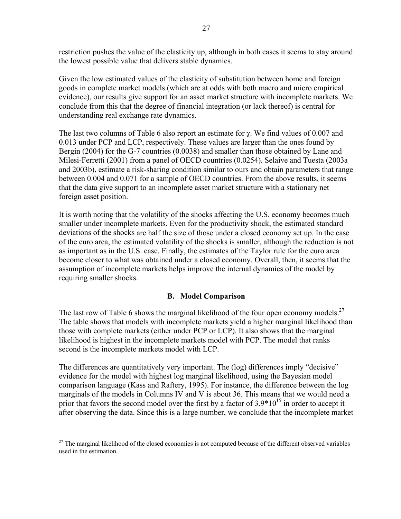restriction pushes the value of the elasticity up, although in both cases it seems to stay around the lowest possible value that delivers stable dynamics.

Given the low estimated values of the elasticity of substitution between home and foreign goods in complete market models (which are at odds with both macro and micro empirical evidence), our results give support for an asset market structure with incomplete markets. We conclude from this that the degree of financial integration (or lack thereof) is central for understanding real exchange rate dynamics.

The last two columns of Table 6 also report an estimate for  $\chi$ . We find values of 0.007 and 0.013 under PCP and LCP, respectively. These values are larger than the ones found by Bergin (2004) for the G-7 countries (0.0038) and smaller than those obtained by Lane and Milesi-Ferretti (2001) from a panel of OECD countries (0.0254). Selaive and Tuesta (2003a and 2003b), estimate a risk-sharing condition similar to ours and obtain parameters that range between 0.004 and 0.071 for a sample of OECD countries. From the above results, it seems that the data give support to an incomplete asset market structure with a stationary net foreign asset position.

It is worth noting that the volatility of the shocks affecting the U.S. economy becomes much smaller under incomplete markets. Even for the productivity shock, the estimated standard deviations of the shocks are half the size of those under a closed economy set up. In the case of the euro area, the estimated volatility of the shocks is smaller, although the reduction is not as important as in the U.S. case. Finally, the estimates of the Taylor rule for the euro area become closer to what was obtained under a closed economy. Overall, then, it seems that the assumption of incomplete markets helps improve the internal dynamics of the model by requiring smaller shocks.

## **B. Model Comparison**

The last row of Table 6 shows the marginal likelihood of the four open economy models.<sup>27</sup> The table shows that models with incomplete markets yield a higher marginal likelihood than those with complete markets (either under PCP or LCP). It also shows that the marginal likelihood is highest in the incomplete markets model with PCP. The model that ranks second is the incomplete markets model with LCP.

The differences are quantitatively very important. The (log) differences imply "decisive" evidence for the model with highest log marginal likelihood, using the Bayesian model comparison language (Kass and Raftery, 1995). For instance, the difference between the log marginals of the models in Columns IV and V is about 36. This means that we would need a prior that favors the second model over the first by a factor of  $3.9*10^{15}$  in order to accept it after observing the data. Since this is a large number, we conclude that the incomplete market

<sup>1</sup>  $27$  The marginal likelihood of the closed economies is not computed because of the different observed variables used in the estimation.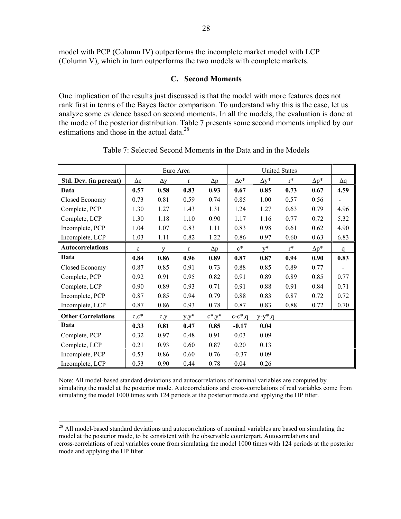model with PCP (Column IV) outperforms the incomplete market model with LCP (Column V), which in turn outperforms the two models with complete markets.

#### **C. Second Moments**

One implication of the results just discussed is that the model with more features does not rank first in terms of the Bayes factor comparison. To understand why this is the case, let us analyze some evidence based on second moments. In all the models, the evaluation is done at the mode of the posterior distribution. Table 7 presents some second moments implied by our estimations and those in the actual data. $^{28}$ 

|                           |              | <b>United States</b><br>Euro Area |              |               |              |              |       |              |             |
|---------------------------|--------------|-----------------------------------|--------------|---------------|--------------|--------------|-------|--------------|-------------|
| Std. Dev. (in percent)    | $\Delta c$   | $\Delta y$                        | $\mathbf r$  | $\Delta p$    | $\Delta c^*$ | $\Delta y^*$ | $r^*$ | $\Delta p^*$ | $\Delta q$  |
| Data                      | 0.57         | 0.58                              | 0.83         | 0.93          | 0.67         | 0.85         | 0.73  | 0.67         | 4.59        |
| Closed Economy            | 0.73         | 0.81                              | 0.59         | 0.74          | 0.85         | 1.00         | 0.57  | 0.56         |             |
| Complete, PCP             | 1.30         | 1.27                              | 1.43         | 1.31          | 1.24         | 1.27         | 0.63  | 0.79         | 4.96        |
| Complete, LCP             | 1.30         | 1.18                              | 1.10         | 0.90          | 1.17         | 1.16         | 0.77  | 0.72         | 5.32        |
| Incomplete, PCP           | 1.04         | 1.07                              | 0.83         | 1.11          | 0.83         | 0.98         | 0.61  | 0.62         | 4.90        |
| Incomplete, LCP           | 1.03         | 1.11                              | 0.82         | 1.22          | 0.86         | 0.97         | 0.60  | 0.63         | 6.83        |
| <b>Autocorrelations</b>   | $\mathbf{c}$ | $\mathbf{V}$                      | $\mathbf{r}$ | $\Delta p$    | $c^*$        | $v^*$        | $r^*$ | $\Delta p^*$ | $\mathbf q$ |
| Data                      | 0.84         | 0.86                              | 0.96         | 0.89          | 0.87         | 0.87         | 0.94  | 0.90         | 0.83        |
| Closed Economy            | 0.87         | 0.85                              | 0.91         | 0.73          | 0.88         | 0.85         | 0.89  | 0.77         |             |
| Complete, PCP             | 0.92         | 0.91                              | 0.95         | 0.82          | 0.91         | 0.89         | 0.89  | 0.85         | 0.77        |
| Complete, LCP             | 0.90         | 0.89                              | 0.93         | 0.71          | 0.91         | 0.88         | 0.91  | 0.84         | 0.71        |
| Incomplete, PCP           | 0.87         | 0.85                              | 0.94         | 0.79          | 0.88         | 0.83         | 0.87  | 0.72         | 0.72        |
| Incomplete, LCP           | 0.87         | 0.86                              | 0.93         | 0.78          | 0.87         | 0.83         | 0.88  | 0.72         | 0.70        |
| <b>Other Correlations</b> | $c,c^*$      | $c_{y}$                           | $y,y^*$      | $c^*$ , $y^*$ | $c-c^*$ ,q   | $y-y^*$ ,q   |       |              |             |
| Data                      | 0.33         | 0.81                              | 0.47         | 0.85          | $-0.17$      | 0.04         |       |              |             |
| Complete, PCP             | 0.32         | 0.97                              | 0.48         | 0.91          | 0.03         | 0.09         |       |              |             |
| Complete, LCP             | 0.21         | 0.93                              | 0.60         | 0.87          | 0.20         | 0.13         |       |              |             |
| Incomplete, PCP           | 0.53         | 0.86                              | 0.60         | 0.76          | $-0.37$      | 0.09         |       |              |             |
| Incomplete, LCP           | 0.53         | 0.90                              | 0.44         | 0.78          | 0.04         | 0.26         |       |              |             |

Table 7: Selected Second Moments in the Data and in the Models

Note: All model-based standard deviations and autocorrelations of nominal variables are computed by simulating the model at the posterior mode. Autocorrelations and cross-correlations of real variables come from simulating the model 1000 times with 124 periods at the posterior mode and applying the HP filter.

 $\overline{a}$ <sup>28</sup> All model-based standard deviations and autocorrelations of nominal variables are based on simulating the model at the posterior mode, to be consistent with the observable counterpart. Autocorrelations and cross-correlations of real variables come from simulating the model 1000 times with 124 periods at the posterior mode and applying the HP filter.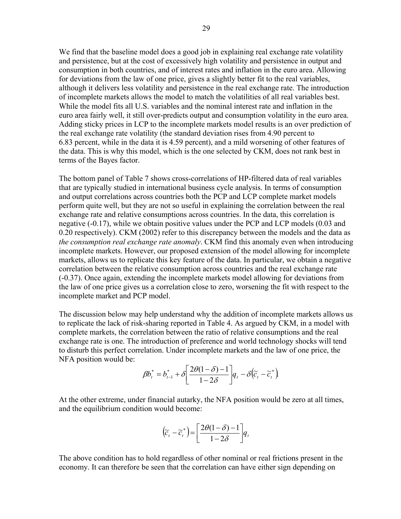We find that the baseline model does a good job in explaining real exchange rate volatility and persistence, but at the cost of excessively high volatility and persistence in output and consumption in both countries, and of interest rates and inflation in the euro area. Allowing for deviations from the law of one price, gives a slightly better fit to the real variables, although it delivers less volatility and persistence in the real exchange rate. The introduction of incomplete markets allows the model to match the volatilities of all real variables best. While the model fits all U.S. variables and the nominal interest rate and inflation in the euro area fairly well, it still over-predicts output and consumption volatility in the euro area. Adding sticky prices in LCP to the incomplete markets model results is an over prediction of the real exchange rate volatility (the standard deviation rises from 4.90 percent to 6.83 percent, while in the data it is 4.59 percent), and a mild worsening of other features of the data. This is why this model, which is the one selected by CKM, does not rank best in terms of the Bayes factor.

The bottom panel of Table 7 shows cross-correlations of HP-filtered data of real variables that are typically studied in international business cycle analysis. In terms of consumption and output correlations across countries both the PCP and LCP complete market models perform quite well, but they are not so useful in explaining the correlation between the real exchange rate and relative consumptions across countries. In the data, this correlation is negative (-0.17), while we obtain positive values under the PCP and LCP models (0.03 and 0.20 respectively). CKM (2002) refer to this discrepancy between the models and the data as *the consumption real exchange rate anomaly*. CKM find this anomaly even when introducing incomplete markets. However, our proposed extension of the model allowing for incomplete markets, allows us to replicate this key feature of the data. In particular, we obtain a negative correlation between the relative consumption across countries and the real exchange rate (-0.37). Once again, extending the incomplete markets model allowing for deviations from the law of one price gives us a correlation close to zero, worsening the fit with respect to the incomplete market and PCP model.

The discussion below may help understand why the addition of incomplete markets allows us to replicate the lack of risk-sharing reported in Table 4. As argued by CKM, in a model with complete markets, the correlation between the ratio of relative consumptions and the real exchange rate is one. The introduction of preference and world technology shocks will tend to disturb this perfect correlation. Under incomplete markets and the law of one price, the NFA position would be:

$$
\beta b_t^* = b_{t-1}^* + \delta \left[ \frac{2\theta(1-\delta)-1}{1-2\delta} \right] q_t - \delta (\widetilde{c}_t - \widetilde{c}_t^*)
$$

At the other extreme, under financial autarky, the NFA position would be zero at all times, and the equilibrium condition would become:

$$
\left(\widetilde{c}_t - \widetilde{c}_t^*\right) = \left[\frac{2\theta(1-\delta)-1}{1-2\delta}\right]q_t
$$

The above condition has to hold regardless of other nominal or real frictions present in the economy. It can therefore be seen that the correlation can have either sign depending on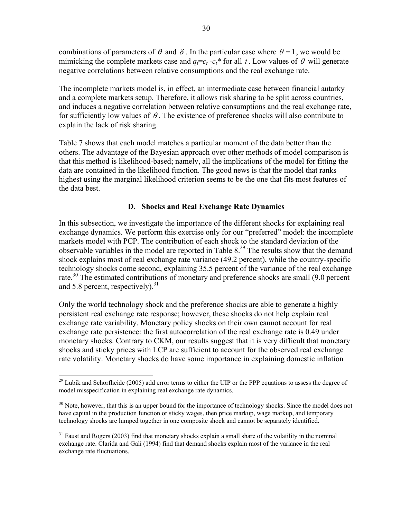combinations of parameters of  $\theta$  and  $\delta$ . In the particular case where  $\theta = 1$ , we would be mimicking the complete markets case and  $q_f = c_t - c_t^*$  for all t. Low values of  $\theta$  will generate negative correlations between relative consumptions and the real exchange rate.

The incomplete markets model is, in effect, an intermediate case between financial autarky and a complete markets setup. Therefore, it allows risk sharing to be split across countries, and induces a negative correlation between relative consumptions and the real exchange rate, for sufficiently low values of  $\theta$ . The existence of preference shocks will also contribute to explain the lack of risk sharing.

Table 7 shows that each model matches a particular moment of the data better than the others. The advantage of the Bayesian approach over other methods of model comparison is that this method is likelihood-based; namely, all the implications of the model for fitting the data are contained in the likelihood function. The good news is that the model that ranks highest using the marginal likelihood criterion seems to be the one that fits most features of the data best.

## **D. Shocks and Real Exchange Rate Dynamics**

In this subsection, we investigate the importance of the different shocks for explaining real exchange dynamics. We perform this exercise only for our "preferred" model: the incomplete markets model with PCP. The contribution of each shock to the standard deviation of the observable variables in the model are reported in Table  $8<sup>29</sup>$  The results show that the demand shock explains most of real exchange rate variance (49.2 percent), while the country-specific technology shocks come second, explaining 35.5 percent of the variance of the real exchange rate.<sup>30</sup> The estimated contributions of monetary and preference shocks are small (9.0 percent and 5.8 percent, respectively).  $31$ 

Only the world technology shock and the preference shocks are able to generate a highly persistent real exchange rate response; however, these shocks do not help explain real exchange rate variability. Monetary policy shocks on their own cannot account for real exchange rate persistence: the first autocorrelation of the real exchange rate is 0.49 under monetary shocks. Contrary to CKM, our results suggest that it is very difficult that monetary shocks and sticky prices with LCP are sufficient to account for the observed real exchange rate volatility. Monetary shocks do have some importance in explaining domestic inflation

 $29$  Lubik and Schorfheide (2005) add error terms to either the UIP or the PPP equations to assess the degree of model misspecification in explaining real exchange rate dynamics.

<sup>&</sup>lt;sup>30</sup> Note, however, that this is an upper bound for the importance of technology shocks. Since the model does not have capital in the production function or sticky wages, then price markup, wage markup, and temporary technology shocks are lumped together in one composite shock and cannot be separately identified.

 $31$  Faust and Rogers (2003) find that monetary shocks explain a small share of the volatility in the nominal exchange rate. Clarida and Galí (1994) find that demand shocks explain most of the variance in the real exchange rate fluctuations.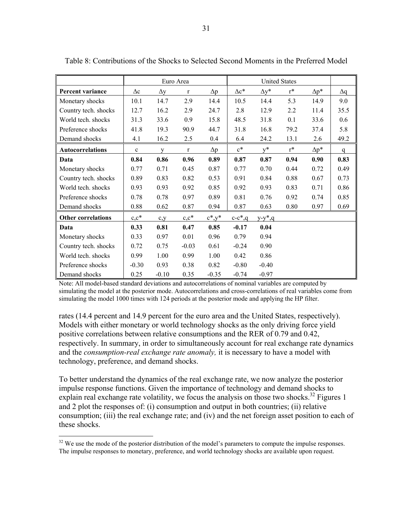|                           |                | Euro Area<br><b>United States</b> |              |               |              |              |                |              |              |
|---------------------------|----------------|-----------------------------------|--------------|---------------|--------------|--------------|----------------|--------------|--------------|
| Percent variance          | $\Delta \rm c$ | $\Delta y$                        | $\mathbf{r}$ | $\Delta p$    | $\Delta c^*$ | $\Delta y^*$ | $r^*$          | $\Delta p^*$ | $\Delta q$   |
| Monetary shocks           | 10.1           | 14.7                              | 2.9          | 14.4          | 10.5         | 14.4         | 5.3            | 14.9         | 9.0          |
| Country tech. shocks      | 12.7           | 16.2                              | 2.9          | 24.7          | 2.8          | 12.9         | 2.2            | 11.4         | 35.5         |
| World tech. shocks        | 31.3           | 33.6                              | 0.9          | 15.8          | 48.5         | 31.8         | 0.1            | 33.6         | 0.6          |
| Preference shocks         | 41.8           | 19.3                              | 90.9         | 44.7          | 31.8         | 16.8         | 79.2           | 37.4         | 5.8          |
| Demand shocks             | 4.1            | 16.2                              | 2.5          | 0.4           | 6.4          | 24.2         | 13.1           | 2.6          | 49.2         |
| <b>Autocorrelations</b>   | $\mathbf c$    | V                                 | $\mathbf{r}$ | $\Delta p$    | $c^*$        | $v^*$        | $\mathbf{r}^*$ | $\Delta p^*$ | $\mathsf{q}$ |
| Data                      | 0.84           | 0.86                              | 0.96         | 0.89          | 0.87         | 0.87         | 0.94           | 0.90         | 0.83         |
| Monetary shocks           | 0.77           | 0.71                              | 0.45         | 0.87          | 0.77         | 0.70         | 0.44           | 0.72         | 0.49         |
| Country tech. shocks      | 0.89           | 0.83                              | 0.82         | 0.53          | 0.91         | 0.84         | 0.88           | 0.67         | 0.73         |
| World tech. shocks        | 0.93           | 0.93                              | 0.92         | 0.85          | 0.92         | 0.93         | 0.83           | 0.71         | 0.86         |
| Preference shocks         | 0.78           | 0.78                              | 0.97         | 0.89          | 0.81         | 0.76         | 0.92           | 0.74         | 0.85         |
| Demand shocks             | 0.88           | 0.62                              | 0.87         | 0.94          | 0.87         | 0.63         | 0.80           | 0.97         | 0.69         |
| <b>Other correlations</b> | $c,c^*$        | $c_{y}$                           | $c,c^*$      | $c^*$ , $y^*$ | $c-c*, q$    | $y-y^*$ , q  |                |              |              |
| Data                      | 0.33           | 0.81                              | 0.47         | 0.85          | $-0.17$      | 0.04         |                |              |              |
| Monetary shocks           | 0.33           | 0.97                              | 0.01         | 0.96          | 0.79         | 0.94         |                |              |              |
| Country tech. shocks      | 0.72           | 0.75                              | $-0.03$      | 0.61          | $-0.24$      | 0.90         |                |              |              |
| World tech. shocks        | 0.99           | 1.00                              | 0.99         | 1.00          | 0.42         | 0.86         |                |              |              |
| Preference shocks         | $-0.30$        | 0.93                              | 0.38         | 0.82          | $-0.80$      | $-0.40$      |                |              |              |
| Demand shocks             | 0.25           | $-0.10$                           | 0.35         | $-0.35$       | $-0.74$      | $-0.97$      |                |              |              |

Table 8: Contributions of the Shocks to Selected Second Moments in the Preferred Model

Note: All model-based standard deviations and autocorrelations of nominal variables are computed by simulating the model at the posterior mode. Autocorrelations and cross-correlations of real variables come from simulating the model 1000 times with 124 periods at the posterior mode and applying the HP filter.

rates (14.4 percent and 14.9 percent for the euro area and the United States, respectively). Models with either monetary or world technology shocks as the only driving force yield positive correlations between relative consumptions and the RER of 0.79 and 0.42, respectively. In summary, in order to simultaneously account for real exchange rate dynamics and the *consumption-real exchange rate anomaly,* it is necessary to have a model with technology, preference, and demand shocks.

To better understand the dynamics of the real exchange rate, we now analyze the posterior impulse response functions. Given the importance of technology and demand shocks to explain real exchange rate volatility, we focus the analysis on those two shocks.<sup>32</sup> Figures 1 and 2 plot the responses of: (i) consumption and output in both countries; (ii) relative consumption; (iii) the real exchange rate; and (iv) and the net foreign asset position to each of these shocks.

 $32$  We use the mode of the posterior distribution of the model's parameters to compute the impulse responses. The impulse responses to monetary, preference, and world technology shocks are available upon request.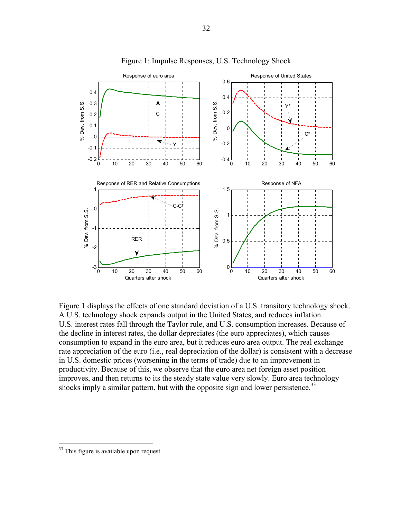

Figure 1: Impulse Responses, U.S. Technology Shock

Figure 1 displays the effects of one standard deviation of a U.S. transitory technology shock. A U.S. technology shock expands output in the United States, and reduces inflation. U.S. interest rates fall through the Taylor rule, and U.S. consumption increases. Because of the decline in interest rates, the dollar depreciates (the euro appreciates), which causes consumption to expand in the euro area, but it reduces euro area output. The real exchange rate appreciation of the euro (i.e., real depreciation of the dollar) is consistent with a decrease in U.S. domestic prices (worsening in the terms of trade) due to an improvement in productivity. Because of this, we observe that the euro area net foreign asset position improves, and then returns to its the steady state value very slowly. Euro area technology shocks imply a similar pattern, but with the opposite sign and lower persistence.<sup>33</sup>

 $33$  This figure is available upon request.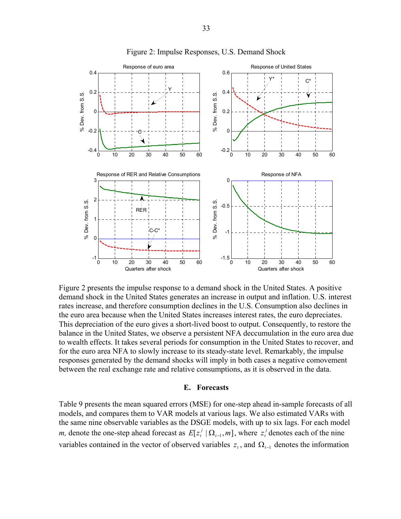

Figure 2: Impulse Responses, U.S. Demand Shock

Figure 2 presents the impulse response to a demand shock in the United States. A positive demand shock in the United States generates an increase in output and inflation. U.S. interest rates increase, and therefore consumption declines in the U.S. Consumption also declines in the euro area because when the United States increases interest rates, the euro depreciates. This depreciation of the euro gives a short-lived boost to output. Consequently, to restore the balance in the United States, we observe a persistent NFA deccumulation in the euro area due to wealth effects. It takes several periods for consumption in the United States to recover, and for the euro area NFA to slowly increase to its steady-state level. Remarkably, the impulse responses generated by the demand shocks will imply in both cases a negative comovement between the real exchange rate and relative consumptions, as it is observed in the data.

#### **E. Forecasts**

Table 9 presents the mean squared errors (MSE) for one-step ahead in-sample forecasts of all models, and compares them to VAR models at various lags. We also estimated VARs with the same nine observable variables as the DSGE models, with up to six lags. For each model *m*, denote the one-step ahead forecast as  $E[z_i^j | \Omega_{t-1}, m]$ , where  $z_i^j$  denotes each of the nine variables contained in the vector of observed variables  $z_t$ , and  $\Omega_{t-1}$  denotes the information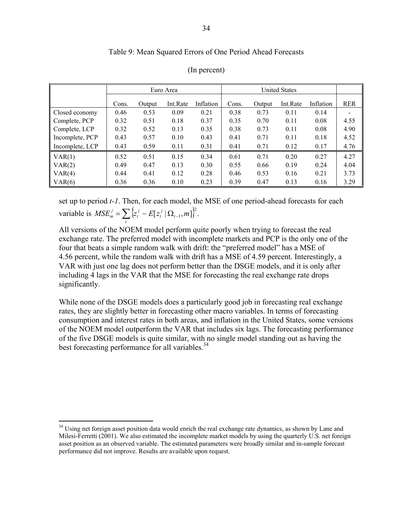#### Table 9: Mean Squared Errors of One Period Ahead Forecasts

|                 |       |        | Euro Area |           |       |        |          |           |            |
|-----------------|-------|--------|-----------|-----------|-------|--------|----------|-----------|------------|
|                 | Cons. | Output | Int.Rate  | Inflation | Cons. | Output | Int.Rate | Inflation | <b>RER</b> |
| Closed economy  | 0.46  | 0.53   | 0.09      | 0.21      | 0.38  | 0.73   | 0.11     | 0.14      |            |
| Complete, PCP   | 0.32  | 0.51   | 0.18      | 0.37      | 0.35  | 0.70   | 0.11     | 0.08      | 4.55       |
| Complete, LCP   | 0.32  | 0.52   | 0.13      | 0.35      | 0.38  | 0.73   | 0.11     | 0.08      | 4.90       |
| Incomplete, PCP | 0.43  | 0.57   | 0.10      | 0.43      | 0.41  | 0.71   | 0.11     | 0.18      | 4.52       |
| Incomplete, LCP | 0.43  | 0.59   | 0.11      | 0.31      | 0.41  | 0.71   | 0.12     | 0.17      | 4.76       |
| VAR(1)          | 0.52  | 0.51   | 0.15      | 0.34      | 0.61  | 0.71   | 0.20     | 0.27      | 4.27       |
| VAR(2)          | 0.49  | 0.47   | 0.13      | 0.30      | 0.55  | 0.66   | 0.19     | 0.24      | 4.04       |
| VAR(4)          | 0.44  | 0.41   | 0.12      | 0.28      | 0.46  | 0.53   | 0.16     | 0.21      | 3.73       |
| VAR(6)          | 0.36  | 0.36   | 0.10      | 0.23      | 0.39  | 0.47   | 0.13     | 0.16      | 3.29       |

#### (In percent)

set up to period *t-1*. Then, for each model, the MSE of one period-ahead forecasts for each variable is  $MSE_m^j = \sum_{t} \left\{ z_t^j - E[z_t^j | \Omega_{t-1}, m] \right\}^2$ . *t j t j*  $MSE_m^j = \sum \{ z_i^j - E[z_i^j | \Omega_{t-1}, m]$ 

All versions of the NOEM model perform quite poorly when trying to forecast the real exchange rate. The preferred model with incomplete markets and PCP is the only one of the four that beats a simple random walk with drift: the "preferred model" has a MSE of 4.56 percent, while the random walk with drift has a MSE of 4.59 percent. Interestingly, a VAR with just one lag does not perform better than the DSGE models, and it is only after including 4 lags in the VAR that the MSE for forecasting the real exchange rate drops significantly.

While none of the DSGE models does a particularly good job in forecasting real exchange rates, they are slightly better in forecasting other macro variables. In terms of forecasting consumption and interest rates in both areas, and inflation in the United States, some versions of the NOEM model outperform the VAR that includes six lags. The forecasting performance of the five DSGE models is quite similar, with no single model standing out as having the best forecasting performance for all variables.<sup>34</sup>

<sup>&</sup>lt;sup>34</sup> Using net foreign asset position data would enrich the real exchange rate dynamics, as shown by Lane and Milesi-Ferretti (2001). We also estimated the incomplete market models by using the quarterly U.S. net foreign asset position as an observed variable. The estimated parameters were broadly similar and in-sample forecast performance did not improve. Results are available upon request.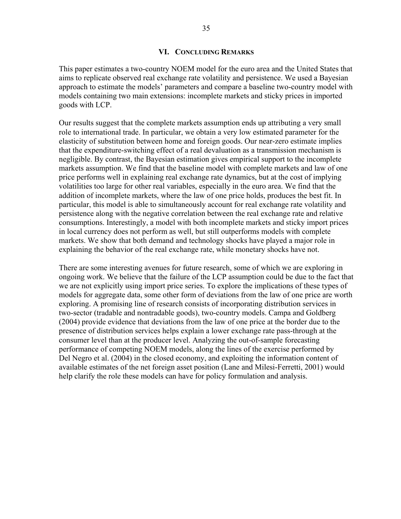#### **VI. CONCLUDING REMARKS**

This paper estimates a two-country NOEM model for the euro area and the United States that aims to replicate observed real exchange rate volatility and persistence. We used a Bayesian approach to estimate the models' parameters and compare a baseline two-country model with models containing two main extensions: incomplete markets and sticky prices in imported goods with LCP.

Our results suggest that the complete markets assumption ends up attributing a very small role to international trade. In particular, we obtain a very low estimated parameter for the elasticity of substitution between home and foreign goods. Our near-zero estimate implies that the expenditure-switching effect of a real devaluation as a transmission mechanism is negligible. By contrast, the Bayesian estimation gives empirical support to the incomplete markets assumption. We find that the baseline model with complete markets and law of one price performs well in explaining real exchange rate dynamics, but at the cost of implying volatilities too large for other real variables, especially in the euro area. We find that the addition of incomplete markets, where the law of one price holds, produces the best fit. In particular, this model is able to simultaneously account for real exchange rate volatility and persistence along with the negative correlation between the real exchange rate and relative consumptions. Interestingly, a model with both incomplete markets and sticky import prices in local currency does not perform as well, but still outperforms models with complete markets. We show that both demand and technology shocks have played a major role in explaining the behavior of the real exchange rate, while monetary shocks have not.

There are some interesting avenues for future research, some of which we are exploring in ongoing work. We believe that the failure of the LCP assumption could be due to the fact that we are not explicitly using import price series. To explore the implications of these types of models for aggregate data, some other form of deviations from the law of one price are worth exploring. A promising line of research consists of incorporating distribution services in two-sector (tradable and nontradable goods), two-country models. Campa and Goldberg (2004) provide evidence that deviations from the law of one price at the border due to the presence of distribution services helps explain a lower exchange rate pass-through at the consumer level than at the producer level. Analyzing the out-of-sample forecasting performance of competing NOEM models, along the lines of the exercise performed by Del Negro et al. (2004) in the closed economy, and exploiting the information content of available estimates of the net foreign asset position (Lane and Milesi-Ferretti, 2001) would help clarify the role these models can have for policy formulation and analysis.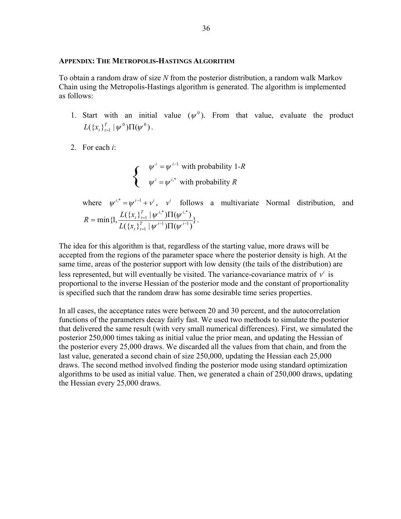#### **APPENDIX: THE METROPOLIS-HASTINGS ALGORITHM**

To obtain a random draw of size *N* from the posterior distribution, a random walk Markov Chain using the Metropolis-Hastings algorithm is generated. The algorithm is implemented as follows:

- 1. Start with an initial value  $(\psi^0)$ . From that value, evaluate the product  $L({x_{t}}_{t}^{T} | \psi^{0})\Pi(\psi^{0}).$
- 2. For each *i*:

$$
\begin{cases}\n\psi^i = \psi^{i-1} \text{ with probability } 1-R \\
\psi^i = \psi^{i,*} \text{ with probability } R\n\end{cases}
$$

where  $\psi^{i,*} = \psi^{i-1} + \nu^i$ ,  $\nu^i$  follows a multivariate Normal distribution, and  ${\rm min} \{ {\rm l},\frac{L(\{x_i\}_{t=1}^T\,|\,\psi^{\,i,*})\Pi(\psi^{\,i,*})}{L(\{x_i\}_{t=1}^T\,|\,\psi^{\,i-1})\Pi(\psi^{\,i-1})}\}$ 1  $,^*$  $\prod$ ( $u^i$ , $^*$ 1  $^{-1}$  $\sum$   $\sum$   $i$ − = =  $\mathcal{I} = \min \{1, \frac{L(\{x_t\}_{t=1}^T \mid \psi^{i,*}) \Pi(\psi^{i,*})}{L(\{x_t\}_{t=1}^T \mid \psi^{i^{-1}}) \Pi(\psi^{i,*})} \}$ *t t*  $T \cup u^{i,*}$ *t t*  $L({x}$  $R = \min\{1, \frac{L(\{x\})}{L(\{x\})}$  $\psi$  )  $\psi$  $\frac{\psi^{(1)}\Pi(\psi^{(2)})}{\psi^{(1)}\Pi(\psi^{(2)})}$ .

The idea for this algorithm is that, regardless of the starting value, more draws will be accepted from the regions of the parameter space where the posterior density is high. At the same time, areas of the posterior support with low density (the tails of the distribution) are less represented, but will eventually be visited. The variance-covariance matrix of  $v^i$  is proportional to the inverse Hessian of the posterior mode and the constant of proportionality is specified such that the random draw has some desirable time series properties.

In all cases, the acceptance rates were between 20 and 30 percent, and the autocorrelation functions of the parameters decay fairly fast. We used two methods to simulate the posterior that delivered the same result (with very small numerical differences). First, we simulated the posterior 250,000 times taking as initial value the prior mean, and updating the Hessian of the posterior every 25,000 draws. We discarded all the values from that chain, and from the last value, generated a second chain of size 250,000, updating the Hessian each 25,000 draws. The second method involved finding the posterior mode using standard optimization algorithms to be used as initial value. Then, we generated a chain of 250,000 draws, updating the Hessian every 25,000 draws.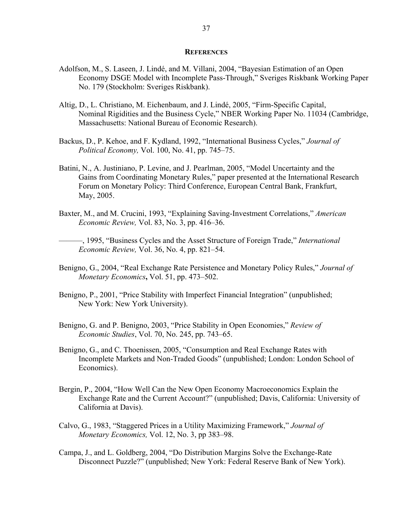#### **REFERENCES**

- Adolfson, M., S. Laseen, J. Lindé, and M. Villani, 2004, "Bayesian Estimation of an Open Economy DSGE Model with Incomplete Pass-Through," Sveriges Riskbank Working Paper No. 179 (Stockholm: Sveriges Riskbank).
- Altig, D., L. Christiano, M. Eichenbaum, and J. Lindé, 2005, "Firm-Specific Capital, Nominal Rigidities and the Business Cycle," NBER Working Paper No. 11034 (Cambridge, Massachusetts: National Bureau of Economic Research).
- Backus, D., P. Kehoe, and F. Kydland, 1992, "International Business Cycles," *Journal of Political Economy,* Vol. 100, No. 41, pp. 745–75.
- Batini, N., A. Justiniano, P. Levine, and J. Pearlman, 2005, "Model Uncertainty and the Gains from Coordinating Monetary Rules," paper presented at the International Research Forum on Monetary Policy: Third Conference, European Central Bank, Frankfurt, May, 2005.
- Baxter, M., and M. Crucini, 1993, "Explaining Saving-Investment Correlations," *American Economic Review,* Vol. 83, No. 3, pp. 416–36.

———, 1995, "Business Cycles and the Asset Structure of Foreign Trade," *International Economic Review,* Vol. 36, No. 4, pp. 821–54.

- Benigno, G., 2004, "Real Exchange Rate Persistence and Monetary Policy Rules," *Journal of Monetary Economics***,** Vol. 51, pp. 473–502.
- Benigno, P., 2001, "Price Stability with Imperfect Financial Integration" (unpublished; New York: New York University).
- Benigno, G. and P. Benigno, 2003, "Price Stability in Open Economies," *Review of Economic Studies*, Vol. 70, No. 245, pp. 743–65.
- Benigno, G., and C. Thoenissen, 2005, "Consumption and Real Exchange Rates with Incomplete Markets and Non-Traded Goods" (unpublished; London: London School of Economics).
- Bergin, P., 2004, "How Well Can the New Open Economy Macroeconomics Explain the Exchange Rate and the Current Account?" (unpublished; Davis, California: University of California at Davis).
- Calvo, G., 1983, "Staggered Prices in a Utility Maximizing Framework," *Journal of Monetary Economics,* Vol. 12, No. 3, pp 383–98.
- Campa, J., and L. Goldberg, 2004, "Do Distribution Margins Solve the Exchange-Rate Disconnect Puzzle?" (unpublished; New York: Federal Reserve Bank of New York).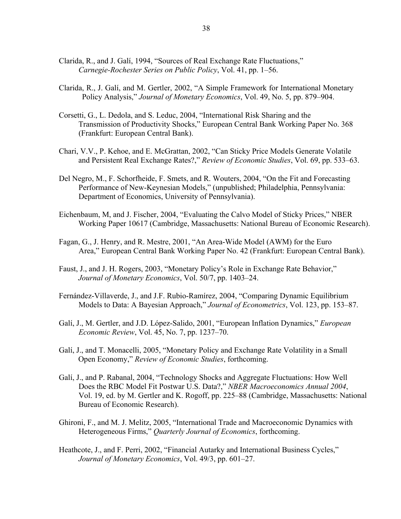- Clarida, R., and J. Galí, 1994, "Sources of Real Exchange Rate Fluctuations," *Carnegie-Rochester Series on Public Policy*, Vol. 41, pp. 1–56.
- Clarida, R., J. Galí, and M. Gertler, 2002, "A Simple Framework for International Monetary Policy Analysis," *Journal of Monetary Economics*, Vol. 49, No. 5, pp. 879–904.
- Corsetti, G., L. Dedola, and S. Leduc, 2004, "International Risk Sharing and the Transmission of Productivity Shocks," European Central Bank Working Paper No. 368 (Frankfurt: European Central Bank).
- Chari, V.V., P. Kehoe, and E. McGrattan, 2002, "Can Sticky Price Models Generate Volatile and Persistent Real Exchange Rates?," *Review of Economic Studies*, Vol. 69, pp. 533–63.
- Del Negro, M., F. Schorfheide, F. Smets, and R. Wouters, 2004, "On the Fit and Forecasting Performance of New-Keynesian Models," (unpublished; Philadelphia, Pennsylvania: Department of Economics, University of Pennsylvania).
- Eichenbaum, M, and J. Fischer, 2004, "Evaluating the Calvo Model of Sticky Prices," NBER Working Paper 10617 (Cambridge, Massachusetts: National Bureau of Economic Research).
- Fagan, G., J. Henry, and R. Mestre, 2001, "An Area-Wide Model (AWM) for the Euro Area," European Central Bank Working Paper No. 42 (Frankfurt: European Central Bank).
- Faust, J., and J. H. Rogers, 2003, "Monetary Policy's Role in Exchange Rate Behavior," *Journal of Monetary Economics*, Vol. 50/7, pp. 1403–24.
- Fernández-Villaverde, J., and J.F. Rubio-Ramírez, 2004, "Comparing Dynamic Equilibrium Models to Data: A Bayesian Approach," *Journal of Econometrics*, Vol. 123, pp. 153–87.
- Galí, J., M. Gertler, and J.D. López-Salido, 2001, "European Inflation Dynamics," *European Economic Review*, Vol. 45, No. 7, pp. 1237–70.
- Galí, J., and T. Monacelli, 2005, "Monetary Policy and Exchange Rate Volatility in a Small Open Economy," *Review of Economic Studies*, forthcoming.
- Galí, J., and P. Rabanal, 2004, "Technology Shocks and Aggregate Fluctuations: How Well Does the RBC Model Fit Postwar U.S. Data?," *NBER Macroeconomics Annual 2004*, Vol. 19, ed. by M. Gertler and K. Rogoff, pp. 225–88 (Cambridge, Massachusetts: National Bureau of Economic Research).
- Ghironi, F., and M. J. Melitz, 2005, "International Trade and Macroeconomic Dynamics with Heterogeneous Firms," *Quarterly Journal of Economics*, forthcoming.
- Heathcote, J., and F. Perri, 2002, "Financial Autarky and International Business Cycles," *Journal of Monetary Economics*, Vol. 49/3, pp. 601–27.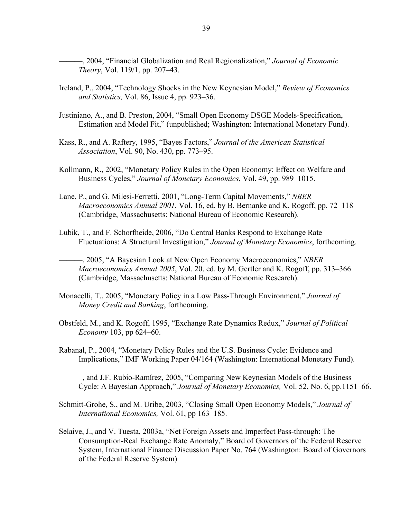———, 2004, "Financial Globalization and Real Regionalization," *Journal of Economic Theory*, Vol. 119/1, pp. 207–43.

- Ireland, P., 2004, "Technology Shocks in the New Keynesian Model," *Review of Economics and Statistics,* Vol. 86, Issue 4, pp. 923–36.
- Justiniano, A., and B. Preston, 2004, "Small Open Economy DSGE Models-Specification, Estimation and Model Fit," (unpublished; Washington: International Monetary Fund).
- Kass, R., and A. Raftery, 1995, "Bayes Factors," *Journal of the American Statistical Association*, Vol. 90, No. 430, pp. 773–95.
- Kollmann, R., 2002, "Monetary Policy Rules in the Open Economy: Effect on Welfare and Business Cycles," *Journal of Monetary Economics*, Vol. 49, pp. 989–1015.
- Lane, P., and G. Milesi-Ferretti, 2001, "Long-Term Capital Movements," *NBER Macroeconomics Annual 2001*, Vol. 16, ed. by B. Bernanke and K. Rogoff, pp. 72–118 (Cambridge, Massachusetts: National Bureau of Economic Research).
- Lubik, T., and F. Schorfheide, 2006, "Do Central Banks Respond to Exchange Rate Fluctuations: A Structural Investigation," *Journal of Monetary Economics*, forthcoming.
	- ———, 2005, "A Bayesian Look at New Open Economy Macroeconomics," *NBER Macroeconomics Annual 2005*, Vol. 20, ed. by M. Gertler and K. Rogoff, pp. 313–366 (Cambridge, Massachusetts: National Bureau of Economic Research).
- Monacelli, T., 2005, "Monetary Policy in a Low Pass-Through Environment," *Journal of Money Credit and Banking*, forthcoming.
- Obstfeld, M., and K. Rogoff, 1995, "Exchange Rate Dynamics Redux," *Journal of Political Economy* 103, pp 624–60.
- Rabanal, P., 2004, "Monetary Policy Rules and the U.S. Business Cycle: Evidence and Implications," IMF Working Paper 04/164 (Washington: International Monetary Fund).

———, and J.F. Rubio-Ramírez, 2005, "Comparing New Keynesian Models of the Business Cycle: A Bayesian Approach," *Journal of Monetary Economics,* Vol. 52, No. 6, pp.1151–66.

- Schmitt-Grohe, S., and M. Uribe, 2003, "Closing Small Open Economy Models," *Journal of International Economics,* Vol. 61, pp 163–185.
- Selaive, J., and V. Tuesta, 2003a, "Net Foreign Assets and Imperfect Pass-through: The Consumption-Real Exchange Rate Anomaly," Board of Governors of the Federal Reserve System, International Finance Discussion Paper No. 764 (Washington: Board of Governors of the Federal Reserve System)